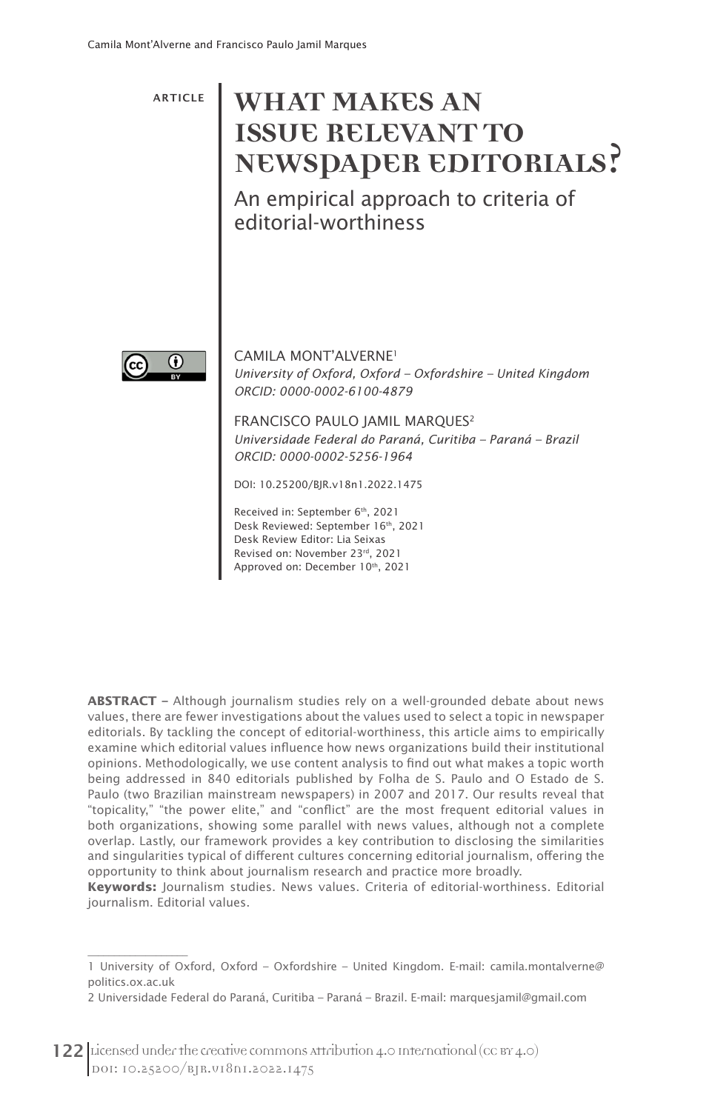# ARTICLE **WHAT MAKES AN ISSUE RELEVANT TO NEWSPAPER EDITORIALS?**

An empirical approach to criteria of editorial-worthiness



 $\overline{\phantom{a}}$  , where  $\overline{\phantom{a}}$  , where  $\overline{\phantom{a}}$  , where  $\overline{\phantom{a}}$ 

CAMILA MONT'ALVERNE1 *University of Oxford, Oxford – Oxfordshire – United Kingdom ORCID: 0000-0002-6100-4879* 

FRANCISCO PAULO JAMIL MARQUES2 *Universidade Federal do Paraná, Curitiba – Paraná – Brazil ORCID: 0000-0002-5256-1964*

DOI: 10.25200/BJR.v18n1.2022.1475

Received in: September 6th, 2021 Desk Reviewed: September 16th, 2021 Desk Review Editor: Lia Seixas Revised on: November 23rd, 2021 Approved on: December 10th, 2021

**ABSTRACT –** Although journalism studies rely on a well-grounded debate about news values, there are fewer investigations about the values used to select a topic in newspaper editorials. By tackling the concept of editorial-worthiness, this article aims to empirically examine which editorial values influence how news organizations build their institutional opinions. Methodologically, we use content analysis to find out what makes a topic worth being addressed in 840 editorials published by Folha de S. Paulo and O Estado de S. Paulo (two Brazilian mainstream newspapers) in 2007 and 2017. Our results reveal that "topicality," "the power elite," and "conflict" are the most frequent editorial values in both organizations, showing some parallel with news values, although not a complete overlap. Lastly, our framework provides a key contribution to disclosing the similarities and singularities typical of different cultures concerning editorial journalism, offering the opportunity to think about journalism research and practice more broadly.

**Keywords:** Journalism studies. News values. Criteria of editorial-worthiness. Editorial journalism. Editorial values.

<sup>1</sup> University of Oxford, Oxford – Oxfordshire – United Kingdom. E-mail: camila.montalverne@ politics.ox.ac.uk

<sup>2</sup> Universidade Federal do Paraná, Curitiba – Paraná – Brazil. E-mail: marquesjamil@gmail.com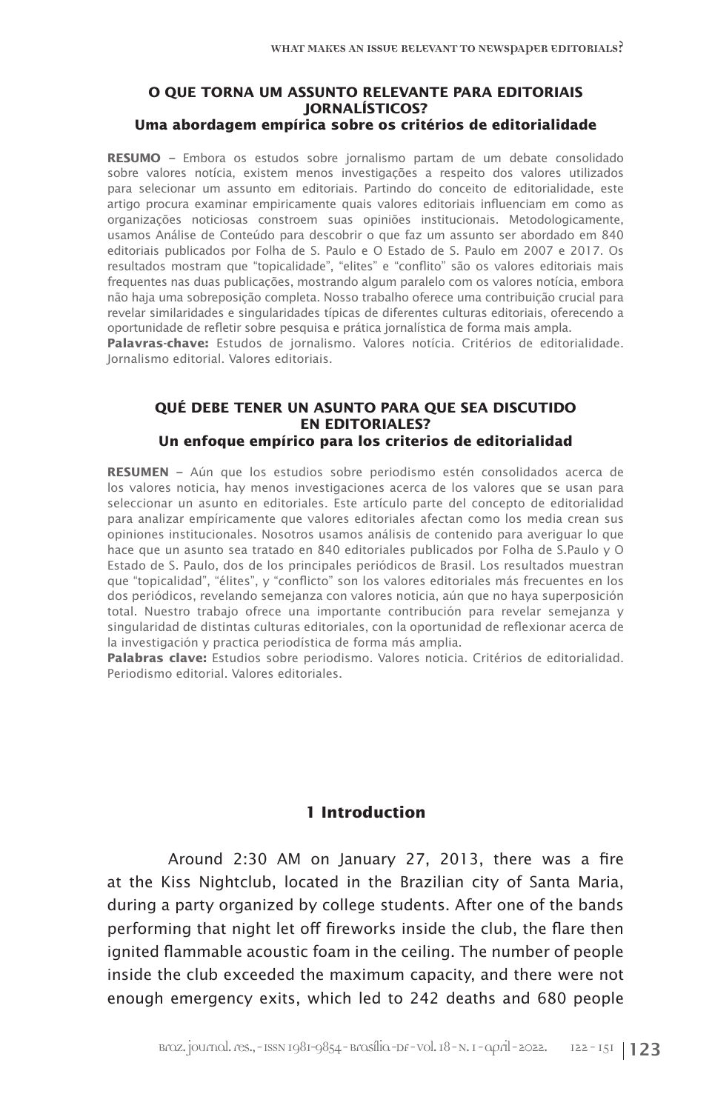#### **O QUE TORNA UM ASSUNTO RELEVANTE PARA EDITORIAIS JORNALÍSTICOS? Uma abordagem empírica sobre os critérios de editorialidade**

**RESUMO –** Embora os estudos sobre jornalismo partam de um debate consolidado sobre valores notícia, existem menos investigações a respeito dos valores utilizados para selecionar um assunto em editoriais. Partindo do conceito de editorialidade, este artigo procura examinar empiricamente quais valores editoriais influenciam em como as organizações noticiosas constroem suas opiniões institucionais. Metodologicamente, usamos Análise de Conteúdo para descobrir o que faz um assunto ser abordado em 840 editoriais publicados por Folha de S. Paulo e O Estado de S. Paulo em 2007 e 2017. Os resultados mostram que "topicalidade", "elites" e "conflito" são os valores editoriais mais frequentes nas duas publicações, mostrando algum paralelo com os valores notícia, embora não haja uma sobreposição completa. Nosso trabalho oferece uma contribuição crucial para revelar similaridades e singularidades típicas de diferentes culturas editoriais, oferecendo a oportunidade de refletir sobre pesquisa e prática jornalística de forma mais ampla.

**Palavras-chave:** Estudos de jornalismo. Valores notícia. Critérios de editorialidade. Jornalismo editorial. Valores editoriais.

#### **QUÉ DEBE TENER UN ASUNTO PARA QUE SEA DISCUTIDO EN EDITORIALES? Un enfoque empírico para los criterios de editorialidad**

**RESUMEN –** Aún que los estudios sobre periodismo estén consolidados acerca de los valores noticia, hay menos investigaciones acerca de los valores que se usan para seleccionar un asunto en editoriales. Este artículo parte del concepto de editorialidad para analizar empíricamente que valores editoriales afectan como los media crean sus opiniones institucionales. Nosotros usamos análisis de contenido para averiguar lo que hace que un asunto sea tratado en 840 editoriales publicados por Folha de S.Paulo y O Estado de S. Paulo, dos de los principales periódicos de Brasil. Los resultados muestran que "topicalidad", "élites", y "conflicto" son los valores editoriales más frecuentes en los dos periódicos, revelando semejanza con valores noticia, aún que no haya superposición total. Nuestro trabajo ofrece una importante contribución para revelar semejanza y singularidad de distintas culturas editoriales, con la oportunidad de reflexionar acerca de la investigación y practica periodística de forma más amplia.

**Palabras clave:** Estudios sobre periodismo. Valores noticia. Critérios de editorialidad. Periodismo editorial. Valores editoriales.

# **1 Introduction**

Around 2:30 AM on January 27, 2013, there was a fire at the Kiss Nightclub, located in the Brazilian city of Santa Maria, during a party organized by college students. After one of the bands performing that night let off fireworks inside the club, the flare then ignited flammable acoustic foam in the ceiling. The number of people inside the club exceeded the maximum capacity, and there were not enough emergency exits, which led to 242 deaths and 680 people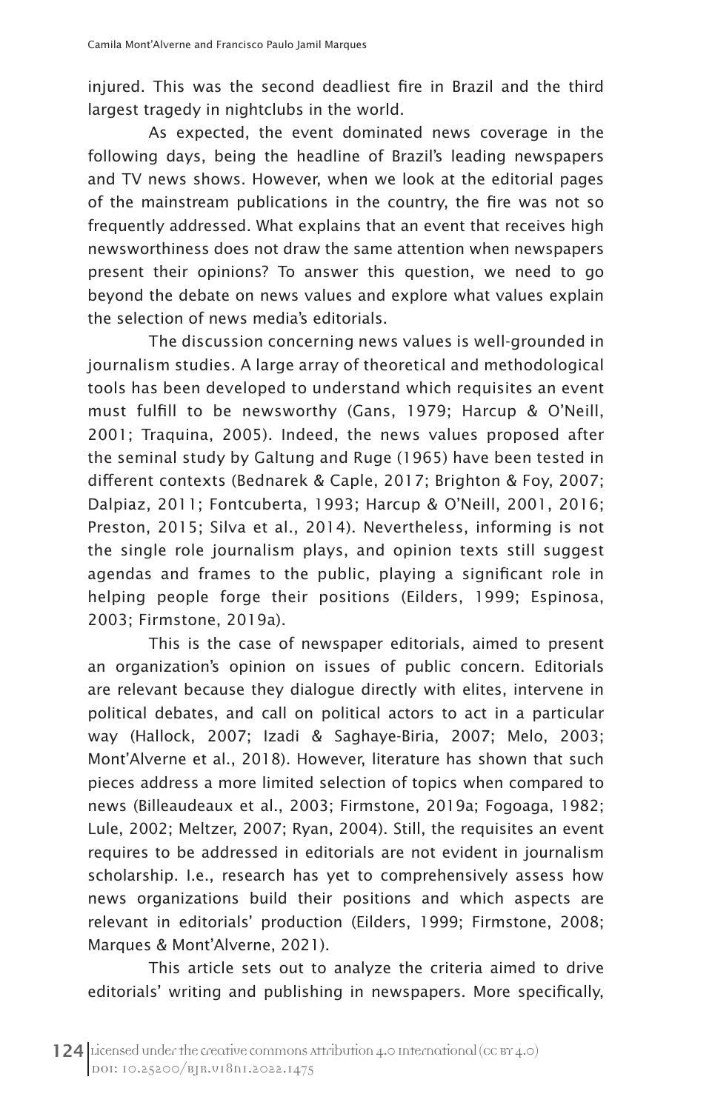injured. This was the second deadliest fire in Brazil and the third largest tragedy in nightclubs in the world.

As expected, the event dominated news coverage in the following days, being the headline of Brazil's leading newspapers and TV news shows. However, when we look at the editorial pages of the mainstream publications in the country, the fire was not so frequently addressed. What explains that an event that receives high newsworthiness does not draw the same attention when newspapers present their opinions? To answer this question, we need to go beyond the debate on news values and explore what values explain the selection of news media's editorials.

The discussion concerning news values is well-grounded in journalism studies. A large array of theoretical and methodological tools has been developed to understand which requisites an event must fulfill to be newsworthy (Gans, 1979; Harcup & O'Neill, 2001; Traquina, 2005). Indeed, the news values proposed after the seminal study by Galtung and Ruge (1965) have been tested in different contexts (Bednarek & Caple, 2017; Brighton & Foy, 2007; Dalpiaz, 2011; Fontcuberta, 1993; Harcup & O'Neill, 2001, 2016; Preston, 2015; Silva et al., 2014). Nevertheless, informing is not the single role journalism plays, and opinion texts still suggest agendas and frames to the public, playing a significant role in helping people forge their positions (Eilders, 1999; Espinosa, 2003; Firmstone, 2019a).

This is the case of newspaper editorials, aimed to present an organization's opinion on issues of public concern. Editorials are relevant because they dialogue directly with elites, intervene in political debates, and call on political actors to act in a particular way (Hallock, 2007; Izadi & Saghaye-Biria, 2007; Melo, 2003; Mont'Alverne et al., 2018). However, literature has shown that such pieces address a more limited selection of topics when compared to news (Billeaudeaux et al., 2003; Firmstone, 2019a; Fogoaga, 1982; Lule, 2002; Meltzer, 2007; Ryan, 2004). Still, the requisites an event requires to be addressed in editorials are not evident in journalism scholarship. I.e., research has yet to comprehensively assess how news organizations build their positions and which aspects are relevant in editorials' production (Eilders, 1999; Firmstone, 2008; Marques & Mont'Alverne, 2021).

This article sets out to analyze the criteria aimed to drive editorials' writing and publishing in newspapers. More specifically,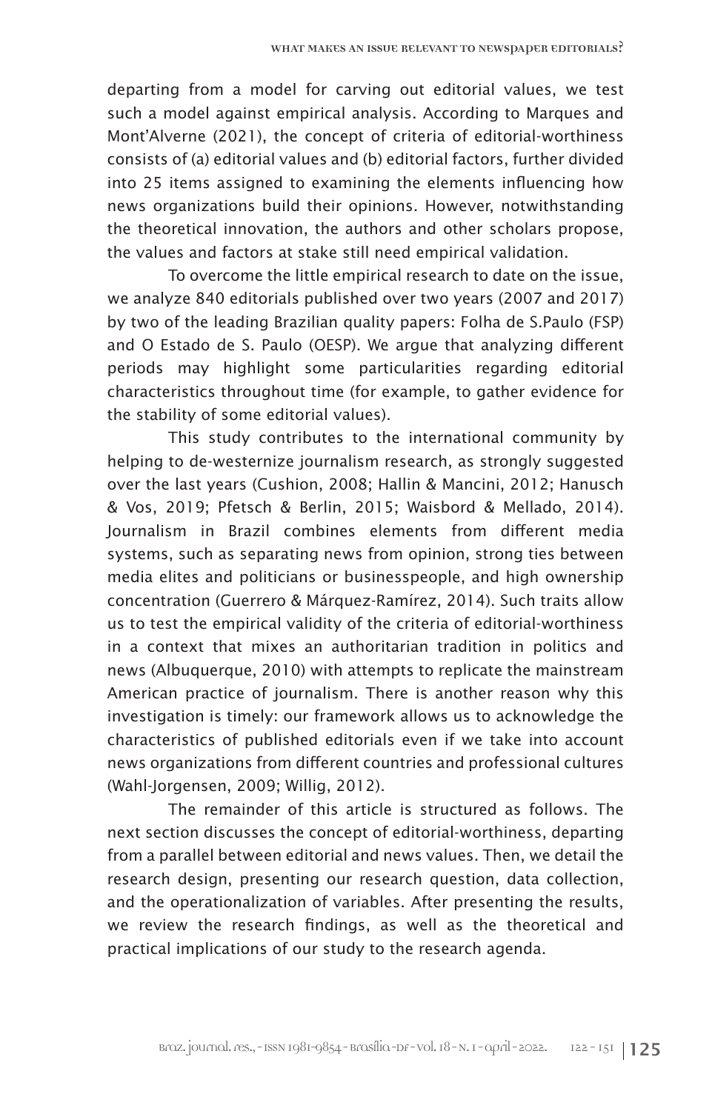departing from a model for carving out editorial values, we test such a model against empirical analysis. According to Marques and Mont'Alverne (2021), the concept of criteria of editorial-worthiness consists of (a) editorial values and (b) editorial factors, further divided into 25 items assigned to examining the elements influencing how news organizations build their opinions. However, notwithstanding the theoretical innovation, the authors and other scholars propose, the values and factors at stake still need empirical validation.

To overcome the little empirical research to date on the issue, we analyze 840 editorials published over two years (2007 and 2017) by two of the leading Brazilian quality papers: Folha de S.Paulo (FSP) and O Estado de S. Paulo (OESP). We argue that analyzing different periods may highlight some particularities regarding editorial characteristics throughout time (for example, to gather evidence for the stability of some editorial values).

This study contributes to the international community by helping to de-westernize journalism research, as strongly suggested over the last years (Cushion, 2008; Hallin & Mancini, 2012; Hanusch & Vos, 2019; Pfetsch & Berlin, 2015; Waisbord & Mellado, 2014). Journalism in Brazil combines elements from different media systems, such as separating news from opinion, strong ties between media elites and politicians or businesspeople, and high ownership concentration (Guerrero & Márquez-Ramírez, 2014). Such traits allow us to test the empirical validity of the criteria of editorial-worthiness in a context that mixes an authoritarian tradition in politics and news (Albuquerque, 2010) with attempts to replicate the mainstream American practice of journalism. There is another reason why this investigation is timely: our framework allows us to acknowledge the characteristics of published editorials even if we take into account news organizations from different countries and professional cultures (Wahl-Jorgensen, 2009; Willig, 2012).

The remainder of this article is structured as follows. The next section discusses the concept of editorial-worthiness, departing from a parallel between editorial and news values. Then, we detail the research design, presenting our research question, data collection, and the operationalization of variables. After presenting the results, we review the research findings, as well as the theoretical and practical implications of our study to the research agenda.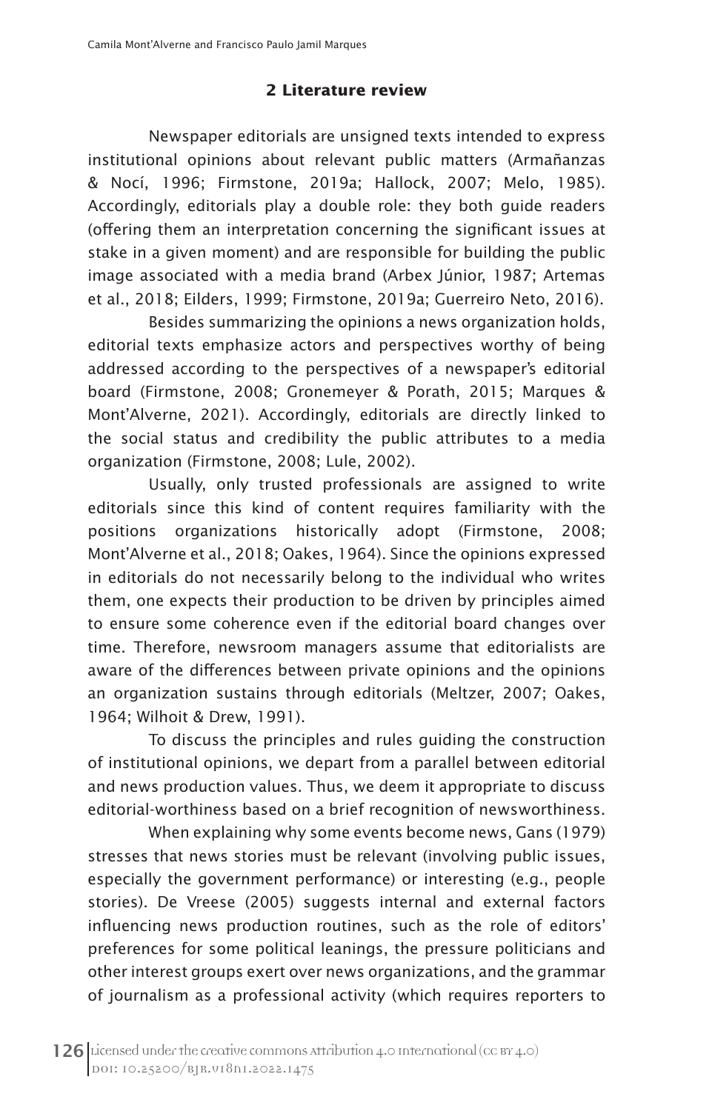# **2 Literature review**

Newspaper editorials are unsigned texts intended to express institutional opinions about relevant public matters (Armañanzas & Nocí, 1996; Firmstone, 2019a; Hallock, 2007; Melo, 1985). Accordingly, editorials play a double role: they both guide readers (offering them an interpretation concerning the significant issues at stake in a given moment) and are responsible for building the public image associated with a media brand (Arbex Júnior, 1987; Artemas et al., 2018; Eilders, 1999; Firmstone, 2019a; Guerreiro Neto, 2016).

Besides summarizing the opinions a news organization holds, editorial texts emphasize actors and perspectives worthy of being addressed according to the perspectives of a newspaper's editorial board (Firmstone, 2008; Gronemeyer & Porath, 2015; Marques & Mont'Alverne, 2021). Accordingly, editorials are directly linked to the social status and credibility the public attributes to a media organization (Firmstone, 2008; Lule, 2002).

Usually, only trusted professionals are assigned to write editorials since this kind of content requires familiarity with the positions organizations historically adopt (Firmstone, 2008; Mont'Alverne et al., 2018; Oakes, 1964). Since the opinions expressed in editorials do not necessarily belong to the individual who writes them, one expects their production to be driven by principles aimed to ensure some coherence even if the editorial board changes over time. Therefore, newsroom managers assume that editorialists are aware of the differences between private opinions and the opinions an organization sustains through editorials (Meltzer, 2007; Oakes, 1964; Wilhoit & Drew, 1991).

To discuss the principles and rules guiding the construction of institutional opinions, we depart from a parallel between editorial and news production values. Thus, we deem it appropriate to discuss editorial-worthiness based on a brief recognition of newsworthiness.

When explaining why some events become news, Gans (1979) stresses that news stories must be relevant (involving public issues, especially the government performance) or interesting (e.g., people stories). De Vreese (2005) suggests internal and external factors influencing news production routines, such as the role of editors' preferences for some political leanings, the pressure politicians and other interest groups exert over news organizations, and the grammar of journalism as a professional activity (which requires reporters to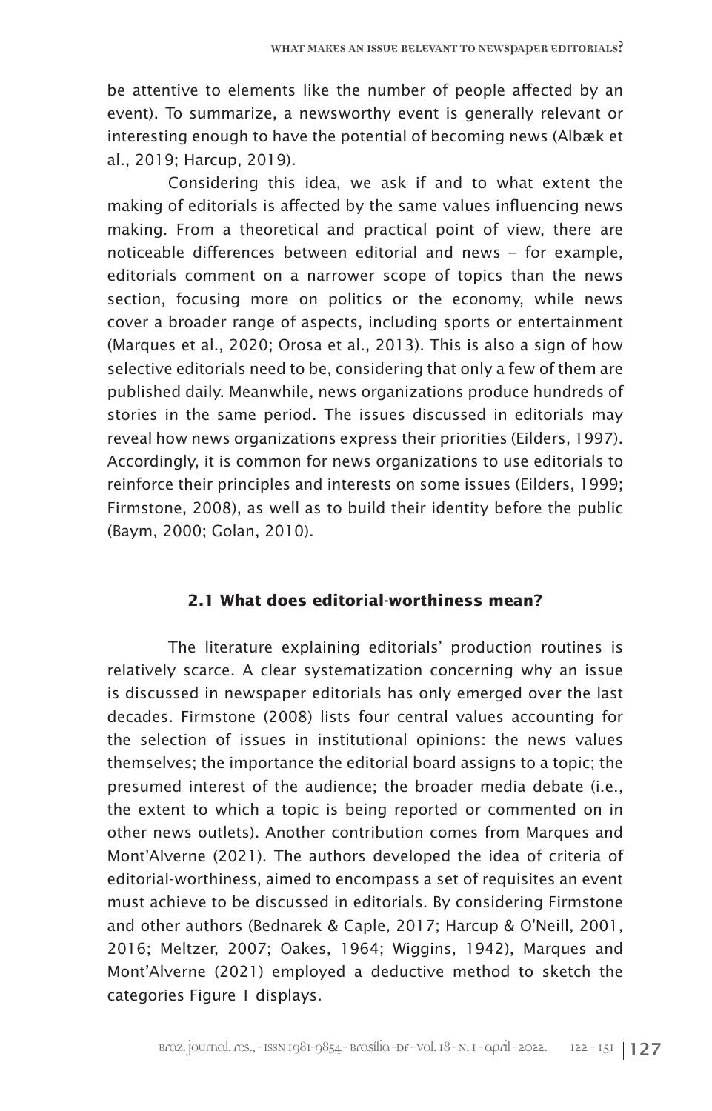be attentive to elements like the number of people affected by an event). To summarize, a newsworthy event is generally relevant or interesting enough to have the potential of becoming news (Albæk et al., 2019; Harcup, 2019).

Considering this idea, we ask if and to what extent the making of editorials is affected by the same values influencing news making. From a theoretical and practical point of view, there are noticeable differences between editorial and news – for example, editorials comment on a narrower scope of topics than the news section, focusing more on politics or the economy, while news cover a broader range of aspects, including sports or entertainment (Marques et al., 2020; Orosa et al., 2013). This is also a sign of how selective editorials need to be, considering that only a few of them are published daily. Meanwhile, news organizations produce hundreds of stories in the same period. The issues discussed in editorials may reveal how news organizations express their priorities (Eilders, 1997). Accordingly, it is common for news organizations to use editorials to reinforce their principles and interests on some issues (Eilders, 1999; Firmstone, 2008), as well as to build their identity before the public (Baym, 2000; Golan, 2010).

# **2.1 What does editorial-worthiness mean?**

The literature explaining editorials' production routines is relatively scarce. A clear systematization concerning why an issue is discussed in newspaper editorials has only emerged over the last decades. Firmstone (2008) lists four central values accounting for the selection of issues in institutional opinions: the news values themselves; the importance the editorial board assigns to a topic; the presumed interest of the audience; the broader media debate (i.e., the extent to which a topic is being reported or commented on in other news outlets). Another contribution comes from Marques and Mont'Alverne (2021). The authors developed the idea of criteria of editorial-worthiness, aimed to encompass a set of requisites an event must achieve to be discussed in editorials. By considering Firmstone and other authors (Bednarek & Caple, 2017; Harcup & O'Neill, 2001, 2016; Meltzer, 2007; Oakes, 1964; Wiggins, 1942), Marques and Mont'Alverne (2021) employed a deductive method to sketch the categories Figure 1 displays.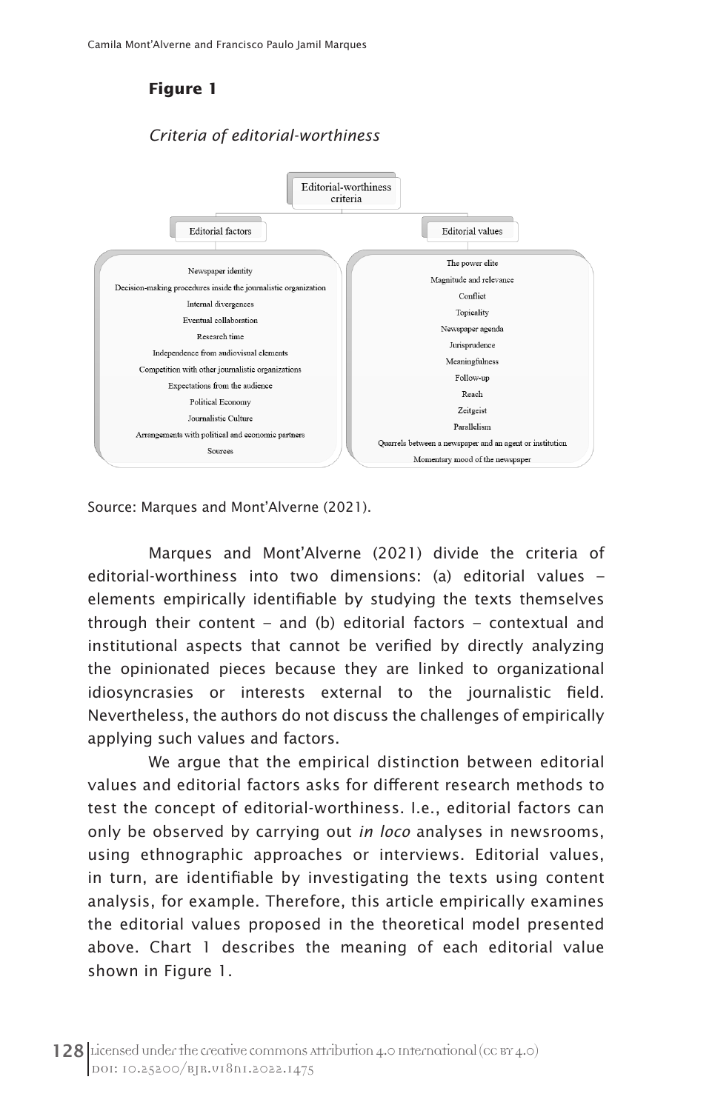# **Figure 1**

# *Criteria of editorial-worthiness*



Source: Marques and Mont'Alverne (2021).

Marques and Mont'Alverne (2021) divide the criteria of editorial-worthiness into two dimensions: (a) editorial values – elements empirically identifiable by studying the texts themselves through their content – and (b) editorial factors – contextual and institutional aspects that cannot be verified by directly analyzing the opinionated pieces because they are linked to organizational idiosyncrasies or interests external to the journalistic field. Nevertheless, the authors do not discuss the challenges of empirically applying such values and factors.

We argue that the empirical distinction between editorial values and editorial factors asks for different research methods to test the concept of editorial-worthiness. I.e., editorial factors can only be observed by carrying out *in loco* analyses in newsrooms, using ethnographic approaches or interviews. Editorial values, in turn, are identifiable by investigating the texts using content analysis, for example. Therefore, this article empirically examines the editorial values proposed in the theoretical model presented above. Chart 1 describes the meaning of each editorial value shown in Figure 1.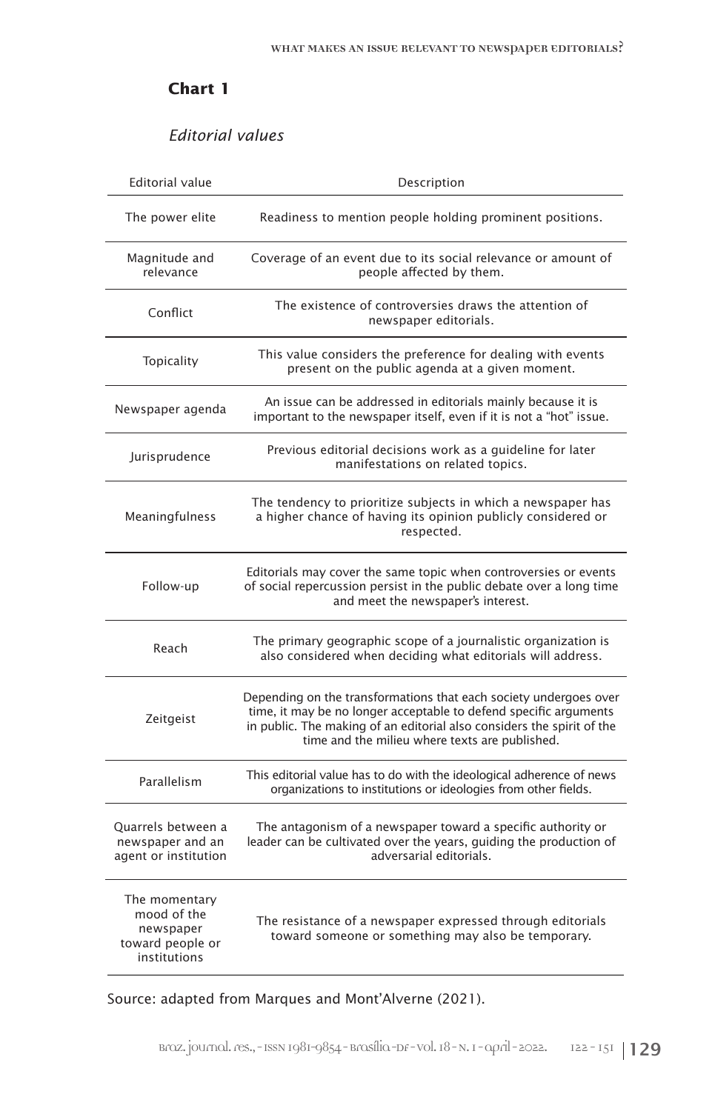# **Chart 1**

# *Editorial values*

| <b>Editorial value</b>                                                        | Description                                                                                                                                                                                                                                                        |
|-------------------------------------------------------------------------------|--------------------------------------------------------------------------------------------------------------------------------------------------------------------------------------------------------------------------------------------------------------------|
| The power elite                                                               | Readiness to mention people holding prominent positions.                                                                                                                                                                                                           |
| Magnitude and<br>relevance                                                    | Coverage of an event due to its social relevance or amount of<br>people affected by them.                                                                                                                                                                          |
| Conflict                                                                      | The existence of controversies draws the attention of<br>newspaper editorials.                                                                                                                                                                                     |
| Topicality                                                                    | This value considers the preference for dealing with events<br>present on the public agenda at a given moment.                                                                                                                                                     |
| Newspaper agenda                                                              | An issue can be addressed in editorials mainly because it is<br>important to the newspaper itself, even if it is not a "hot" issue.                                                                                                                                |
| Jurisprudence                                                                 | Previous editorial decisions work as a quideline for later<br>manifestations on related topics.                                                                                                                                                                    |
| Meaningfulness                                                                | The tendency to prioritize subjects in which a newspaper has<br>a higher chance of having its opinion publicly considered or<br>respected.                                                                                                                         |
| Follow-up                                                                     | Editorials may cover the same topic when controversies or events<br>of social repercussion persist in the public debate over a long time<br>and meet the newspaper's interest.                                                                                     |
| Reach                                                                         | The primary geographic scope of a journalistic organization is<br>also considered when deciding what editorials will address.                                                                                                                                      |
| Zeitgeist                                                                     | Depending on the transformations that each society undergoes over<br>time, it may be no longer acceptable to defend specific arguments<br>in public. The making of an editorial also considers the spirit of the<br>time and the milieu where texts are published. |
| Parallelism                                                                   | This editorial value has to do with the ideological adherence of news<br>organizations to institutions or ideologies from other fields.                                                                                                                            |
| Ouarrels between a<br>newspaper and an<br>agent or institution                | The antagonism of a newspaper toward a specific authority or<br>leader can be cultivated over the years, quiding the production of<br>adversarial editorials.                                                                                                      |
| The momentary<br>mood of the<br>newspaper<br>toward people or<br>institutions | The resistance of a newspaper expressed through editorials<br>toward someone or something may also be temporary.                                                                                                                                                   |

Source: adapted from Marques and Mont'Alverne (2021).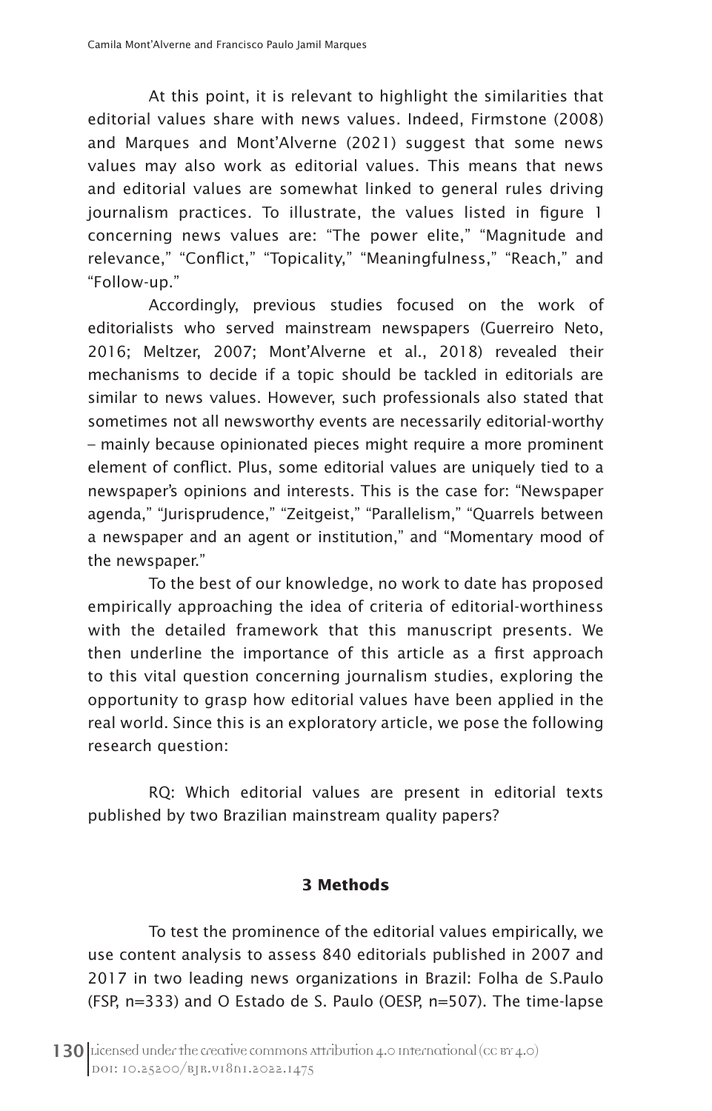At this point, it is relevant to highlight the similarities that editorial values share with news values. Indeed, Firmstone (2008) and Marques and Mont'Alverne (2021) suggest that some news values may also work as editorial values. This means that news and editorial values are somewhat linked to general rules driving journalism practices. To illustrate, the values listed in figure 1 concerning news values are: "The power elite," "Magnitude and relevance," "Conflict," "Topicality," "Meaningfulness," "Reach," and "Follow-up."

Accordingly, previous studies focused on the work of editorialists who served mainstream newspapers (Guerreiro Neto, 2016; Meltzer, 2007; Mont'Alverne et al., 2018) revealed their mechanisms to decide if a topic should be tackled in editorials are similar to news values. However, such professionals also stated that sometimes not all newsworthy events are necessarily editorial-worthy – mainly because opinionated pieces might require a more prominent element of conflict. Plus, some editorial values are uniquely tied to a newspaper's opinions and interests. This is the case for: "Newspaper agenda," "Jurisprudence," "Zeitgeist," "Parallelism," "Quarrels between a newspaper and an agent or institution," and "Momentary mood of the newspaper."

To the best of our knowledge, no work to date has proposed empirically approaching the idea of criteria of editorial-worthiness with the detailed framework that this manuscript presents. We then underline the importance of this article as a first approach to this vital question concerning journalism studies, exploring the opportunity to grasp how editorial values have been applied in the real world. Since this is an exploratory article, we pose the following research question:

RQ: Which editorial values are present in editorial texts published by two Brazilian mainstream quality papers?

# **3 Methods**

To test the prominence of the editorial values empirically, we use content analysis to assess 840 editorials published in 2007 and 2017 in two leading news organizations in Brazil: Folha de S.Paulo (FSP, n=333) and O Estado de S. Paulo (OESP, n=507). The time-lapse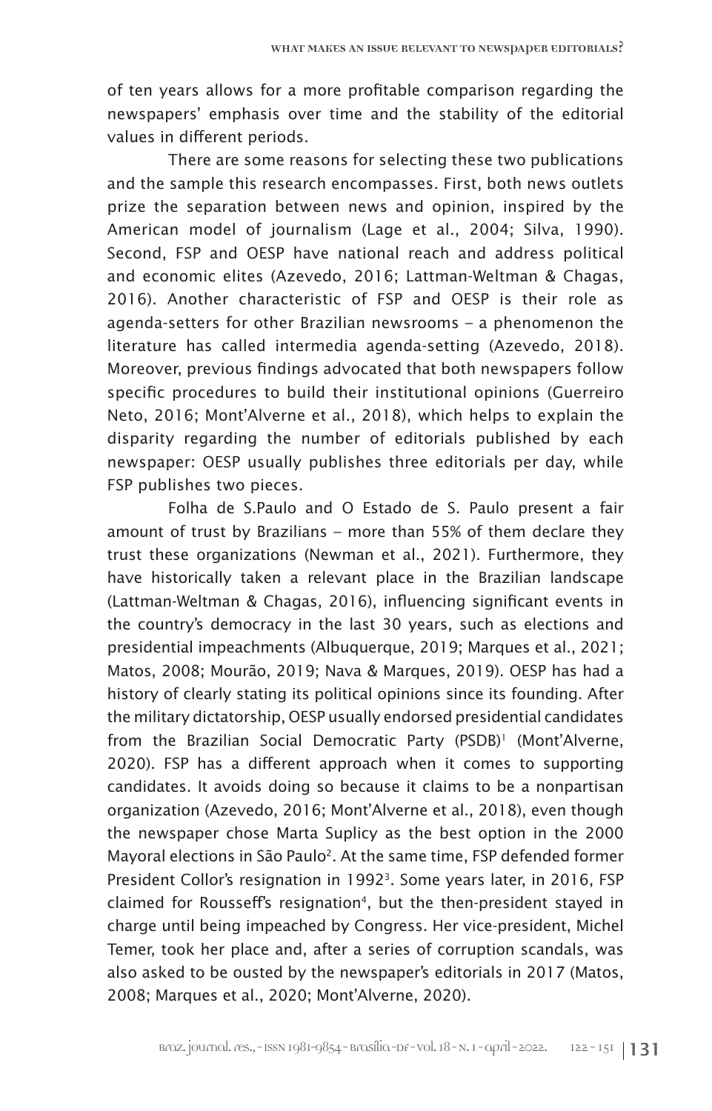of ten years allows for a more profitable comparison regarding the newspapers' emphasis over time and the stability of the editorial values in different periods.

There are some reasons for selecting these two publications and the sample this research encompasses. First, both news outlets prize the separation between news and opinion, inspired by the American model of journalism (Lage et al., 2004; Silva, 1990). Second, FSP and OESP have national reach and address political and economic elites (Azevedo, 2016; Lattman-Weltman & Chagas, 2016). Another characteristic of FSP and OESP is their role as agenda-setters for other Brazilian newsrooms – a phenomenon the literature has called intermedia agenda-setting (Azevedo, 2018). Moreover, previous findings advocated that both newspapers follow specific procedures to build their institutional opinions (Guerreiro Neto, 2016; Mont'Alverne et al., 2018), which helps to explain the disparity regarding the number of editorials published by each newspaper: OESP usually publishes three editorials per day, while FSP publishes two pieces.

Folha de S.Paulo and O Estado de S. Paulo present a fair amount of trust by Brazilians – more than 55% of them declare they trust these organizations (Newman et al., 2021). Furthermore, they have historically taken a relevant place in the Brazilian landscape (Lattman-Weltman & Chagas, 2016), influencing significant events in the country's democracy in the last 30 years, such as elections and presidential impeachments (Albuquerque, 2019; Marques et al., 2021; Matos, 2008; Mourão, 2019; Nava & Marques, 2019). OESP has had a history of clearly stating its political opinions since its founding. After the military dictatorship, OESP usually endorsed presidential candidates from the Brazilian Social Democratic Party (PSDB)<sup>1</sup> (Mont'Alverne, 2020). FSP has a different approach when it comes to supporting candidates. It avoids doing so because it claims to be a nonpartisan organization (Azevedo, 2016; Mont'Alverne et al., 2018), even though the newspaper chose Marta Suplicy as the best option in the 2000 Mayoral elections in São Paulo<sup>2</sup>. At the same time, FSP defended former President Collor's resignation in 1992<sup>3</sup>. Some years later, in 2016, FSP claimed for Rousseff's resignation<sup>4</sup>, but the then-president stayed in charge until being impeached by Congress. Her vice-president, Michel Temer, took her place and, after a series of corruption scandals, was also asked to be ousted by the newspaper's editorials in 2017 (Matos, 2008; Marques et al., 2020; Mont'Alverne, 2020).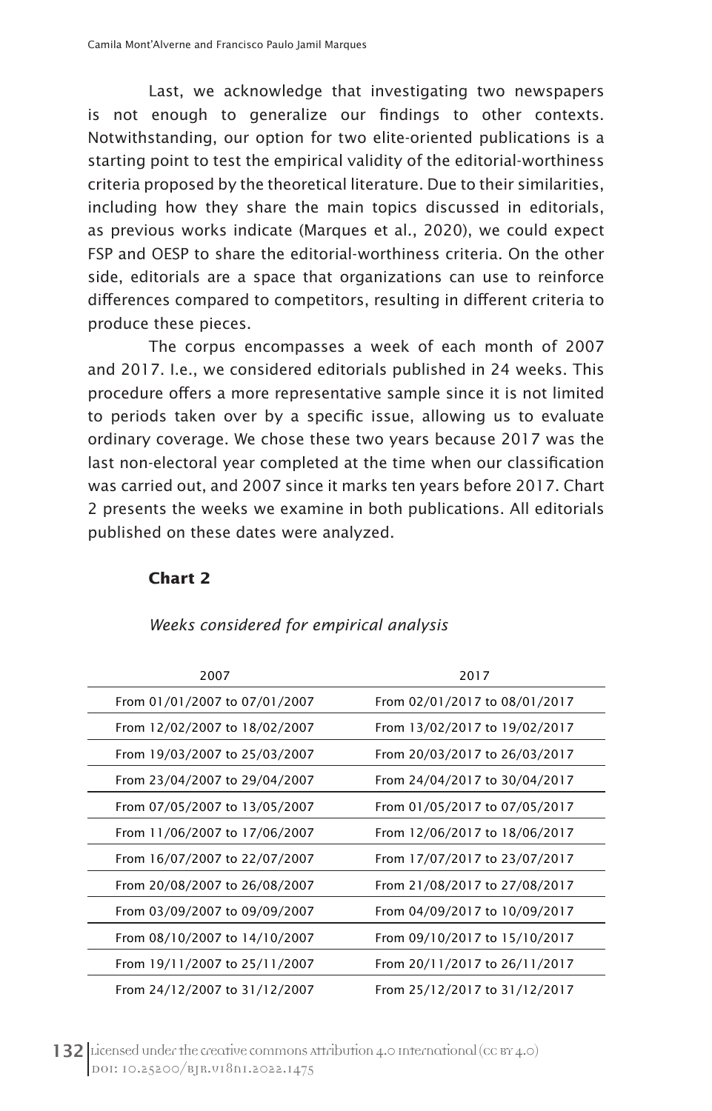Last, we acknowledge that investigating two newspapers is not enough to generalize our findings to other contexts. Notwithstanding, our option for two elite-oriented publications is a starting point to test the empirical validity of the editorial-worthiness criteria proposed by the theoretical literature. Due to their similarities, including how they share the main topics discussed in editorials, as previous works indicate (Marques et al., 2020), we could expect FSP and OESP to share the editorial-worthiness criteria. On the other side, editorials are a space that organizations can use to reinforce differences compared to competitors, resulting in different criteria to produce these pieces.

The corpus encompasses a week of each month of 2007 and 2017. I.e., we considered editorials published in 24 weeks. This procedure offers a more representative sample since it is not limited to periods taken over by a specific issue, allowing us to evaluate ordinary coverage. We chose these two years because 2017 was the last non-electoral year completed at the time when our classification was carried out, and 2007 since it marks ten years before 2017. Chart 2 presents the weeks we examine in both publications. All editorials published on these dates were analyzed.

#### **Chart 2**

| 2007                          | 2017                          |
|-------------------------------|-------------------------------|
| From 01/01/2007 to 07/01/2007 | From 02/01/2017 to 08/01/2017 |
| From 12/02/2007 to 18/02/2007 | From 13/02/2017 to 19/02/2017 |
| From 19/03/2007 to 25/03/2007 | From 20/03/2017 to 26/03/2017 |
| From 23/04/2007 to 29/04/2007 | From 24/04/2017 to 30/04/2017 |
| From 07/05/2007 to 13/05/2007 | From 01/05/2017 to 07/05/2017 |
| From 11/06/2007 to 17/06/2007 | From 12/06/2017 to 18/06/2017 |
| From 16/07/2007 to 22/07/2007 | From 17/07/2017 to 23/07/2017 |
| From 20/08/2007 to 26/08/2007 | From 21/08/2017 to 27/08/2017 |
| From 03/09/2007 to 09/09/2007 | From 04/09/2017 to 10/09/2017 |
| From 08/10/2007 to 14/10/2007 | From 09/10/2017 to 15/10/2017 |
| From 19/11/2007 to 25/11/2007 | From 20/11/2017 to 26/11/2017 |
| From 24/12/2007 to 31/12/2007 | From 25/12/2017 to 31/12/2017 |

#### *Weeks considered for empirical analysis*

132 Licensed under the creative commons attribution 4.0 International (cc BY 4.0) DOI: 10.25200/BJR.v18n1.2022.1475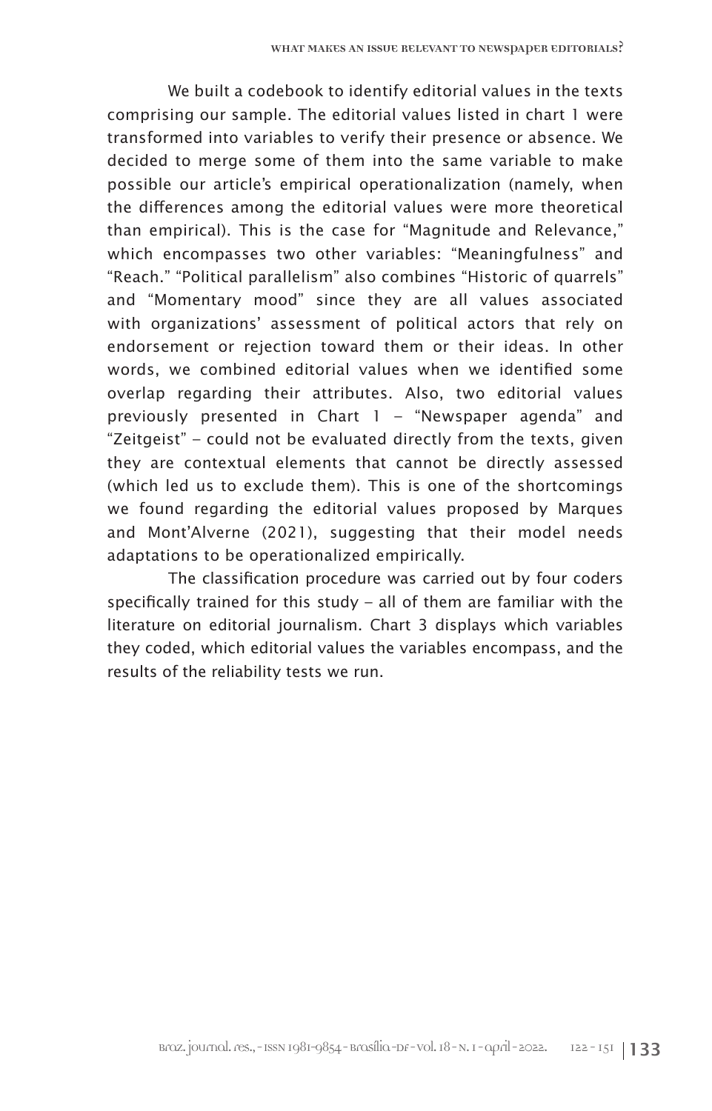We built a codebook to identify editorial values in the texts comprising our sample. The editorial values listed in chart 1 were transformed into variables to verify their presence or absence. We decided to merge some of them into the same variable to make possible our article's empirical operationalization (namely, when the differences among the editorial values were more theoretical than empirical). This is the case for "Magnitude and Relevance," which encompasses two other variables: "Meaningfulness" and "Reach." "Political parallelism" also combines "Historic of quarrels" and "Momentary mood" since they are all values associated with organizations' assessment of political actors that rely on endorsement or rejection toward them or their ideas. In other words, we combined editorial values when we identified some overlap regarding their attributes. Also, two editorial values previously presented in Chart 1 – "Newspaper agenda" and "Zeitgeist" – could not be evaluated directly from the texts, given they are contextual elements that cannot be directly assessed (which led us to exclude them). This is one of the shortcomings we found regarding the editorial values proposed by Marques and Mont'Alverne (2021), suggesting that their model needs adaptations to be operationalized empirically.

The classification procedure was carried out by four coders specifically trained for this study – all of them are familiar with the literature on editorial journalism. Chart 3 displays which variables they coded, which editorial values the variables encompass, and the results of the reliability tests we run.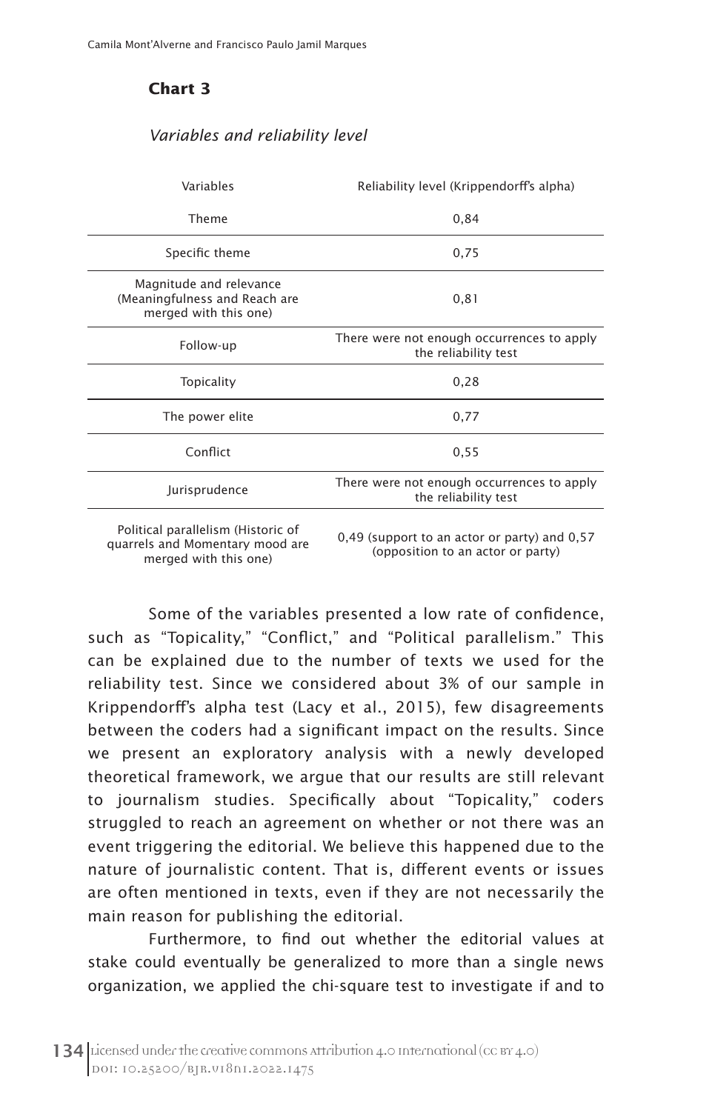# **Chart 3**

#### *Variables and reliability level*

| Variables                                                                                      | Reliability level (Krippendorff's alpha)                                          |  |  |  |
|------------------------------------------------------------------------------------------------|-----------------------------------------------------------------------------------|--|--|--|
| Theme                                                                                          | 0,84                                                                              |  |  |  |
| Specific theme                                                                                 | 0,75                                                                              |  |  |  |
| Magnitude and relevance<br>(Meaningfulness and Reach are<br>merged with this one)              | 0, 81                                                                             |  |  |  |
| Follow-up                                                                                      | There were not enough occurrences to apply<br>the reliability test                |  |  |  |
| Topicality                                                                                     | 0,28                                                                              |  |  |  |
| The power elite                                                                                | 0,77                                                                              |  |  |  |
| Conflict                                                                                       | 0,55                                                                              |  |  |  |
| Jurisprudence                                                                                  | There were not enough occurrences to apply<br>the reliability test                |  |  |  |
| Political parallelism (Historic of<br>quarrels and Momentary mood are<br>merged with this one) | 0,49 (support to an actor or party) and 0,57<br>(opposition to an actor or party) |  |  |  |

Some of the variables presented a low rate of confidence, such as "Topicality," "Conflict," and "Political parallelism." This can be explained due to the number of texts we used for the reliability test. Since we considered about 3% of our sample in Krippendorff's alpha test (Lacy et al., 2015), few disagreements between the coders had a significant impact on the results. Since we present an exploratory analysis with a newly developed theoretical framework, we argue that our results are still relevant to journalism studies. Specifically about "Topicality," coders struggled to reach an agreement on whether or not there was an event triggering the editorial. We believe this happened due to the nature of journalistic content. That is, different events or issues are often mentioned in texts, even if they are not necessarily the main reason for publishing the editorial.

Furthermore, to find out whether the editorial values at stake could eventually be generalized to more than a single news organization, we applied the chi-square test to investigate if and to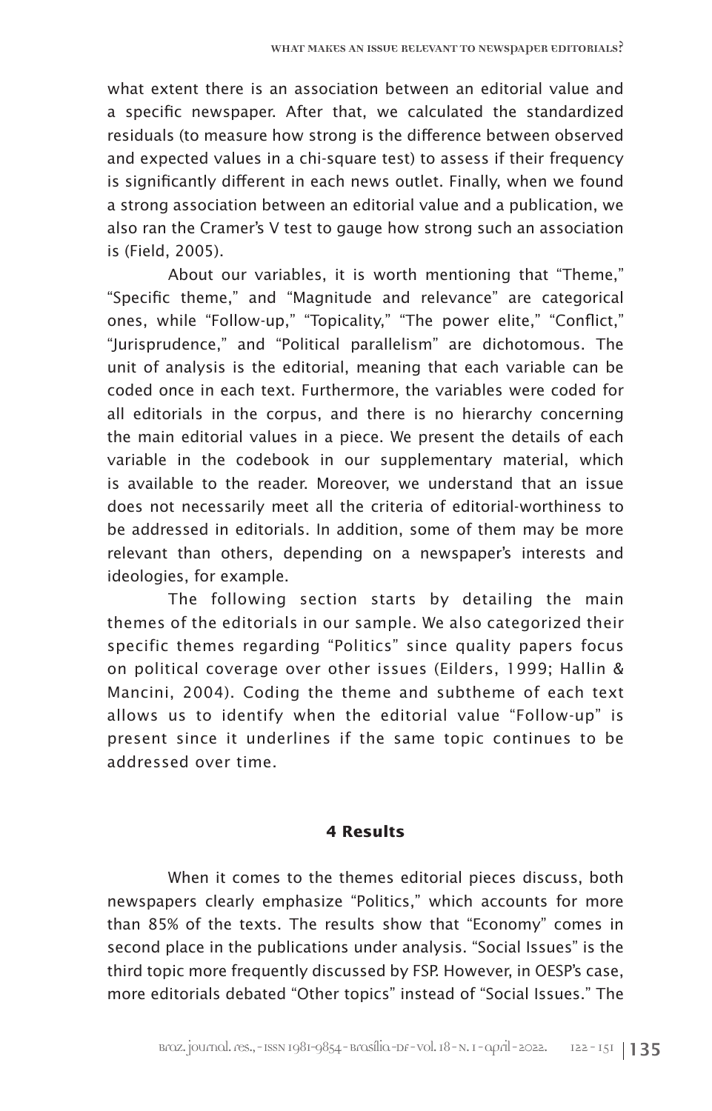what extent there is an association between an editorial value and a specific newspaper. After that, we calculated the standardized residuals (to measure how strong is the difference between observed and expected values in a chi-square test) to assess if their frequency is significantly different in each news outlet. Finally, when we found a strong association between an editorial value and a publication, we also ran the Cramer's V test to gauge how strong such an association is (Field, 2005).

About our variables, it is worth mentioning that "Theme," "Specific theme," and "Magnitude and relevance" are categorical ones, while "Follow-up," "Topicality," "The power elite," "Conflict," "Jurisprudence," and "Political parallelism" are dichotomous. The unit of analysis is the editorial, meaning that each variable can be coded once in each text. Furthermore, the variables were coded for all editorials in the corpus, and there is no hierarchy concerning the main editorial values in a piece. We present the details of each variable in the codebook in our supplementary material, which is available to the reader. Moreover, we understand that an issue does not necessarily meet all the criteria of editorial-worthiness to be addressed in editorials. In addition, some of them may be more relevant than others, depending on a newspaper's interests and ideologies, for example.

The following section starts by detailing the main themes of the editorials in our sample. We also categorized their specific themes regarding "Politics" since quality papers focus on political coverage over other issues (Eilders, 1999; Hallin & Mancini, 2004). Coding the theme and subtheme of each text allows us to identify when the editorial value "Follow-up" is present since it underlines if the same topic continues to be addressed over time.

# **4 Results**

When it comes to the themes editorial pieces discuss, both newspapers clearly emphasize "Politics," which accounts for more than 85% of the texts. The results show that "Economy" comes in second place in the publications under analysis. "Social Issues" is the third topic more frequently discussed by FSP. However, in OESP's case, more editorials debated "Other topics" instead of "Social Issues." The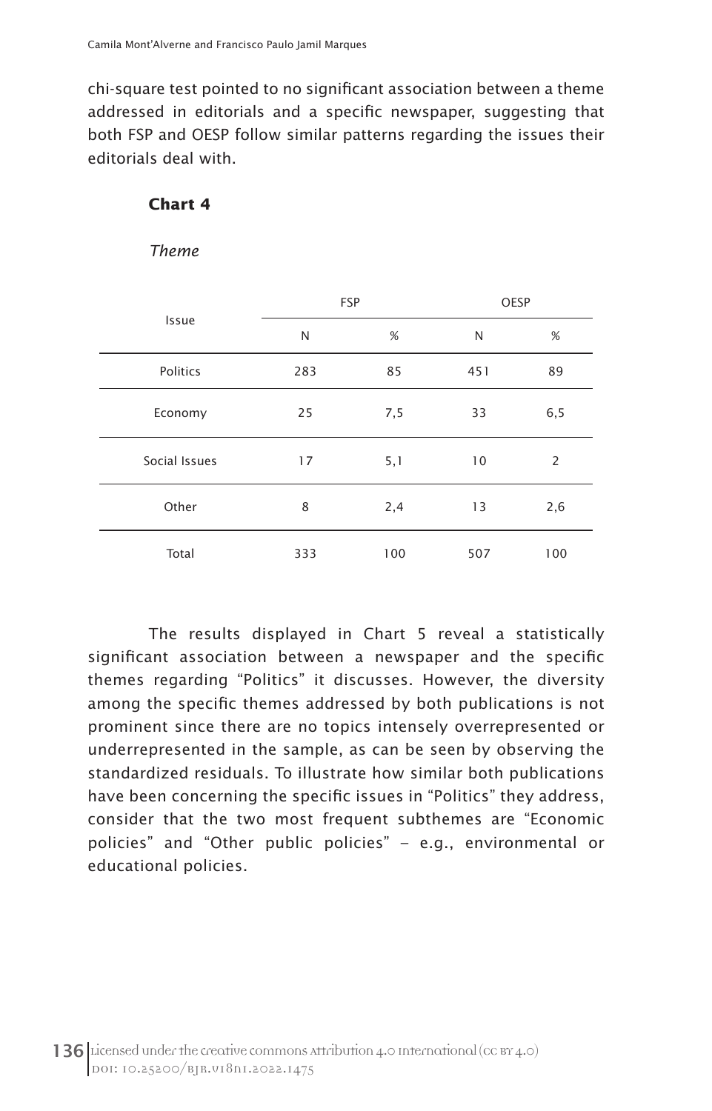chi-square test pointed to no significant association between a theme addressed in editorials and a specific newspaper, suggesting that both FSP and OESP follow similar patterns regarding the issues their editorials deal with.

# **Chart 4**

*Theme*

|               |     | <b>FSP</b> | OESP |     |  |
|---------------|-----|------------|------|-----|--|
| Issue         | N   | %          | N    | %   |  |
| Politics      | 283 | 85         | 451  | 89  |  |
| Economy       | 25  | 7,5        | 33   | 6,5 |  |
| Social Issues | 17  | 5,1        | 10   | 2   |  |
| Other         | 8   | 2,4        | 13   | 2,6 |  |
| Total         | 333 | 100        | 507  | 100 |  |

The results displayed in Chart 5 reveal a statistically significant association between a newspaper and the specific themes regarding "Politics" it discusses. However, the diversity among the specific themes addressed by both publications is not prominent since there are no topics intensely overrepresented or underrepresented in the sample, as can be seen by observing the standardized residuals. To illustrate how similar both publications have been concerning the specific issues in "Politics" they address, consider that the two most frequent subthemes are "Economic policies" and "Other public policies" – e.g., environmental or educational policies.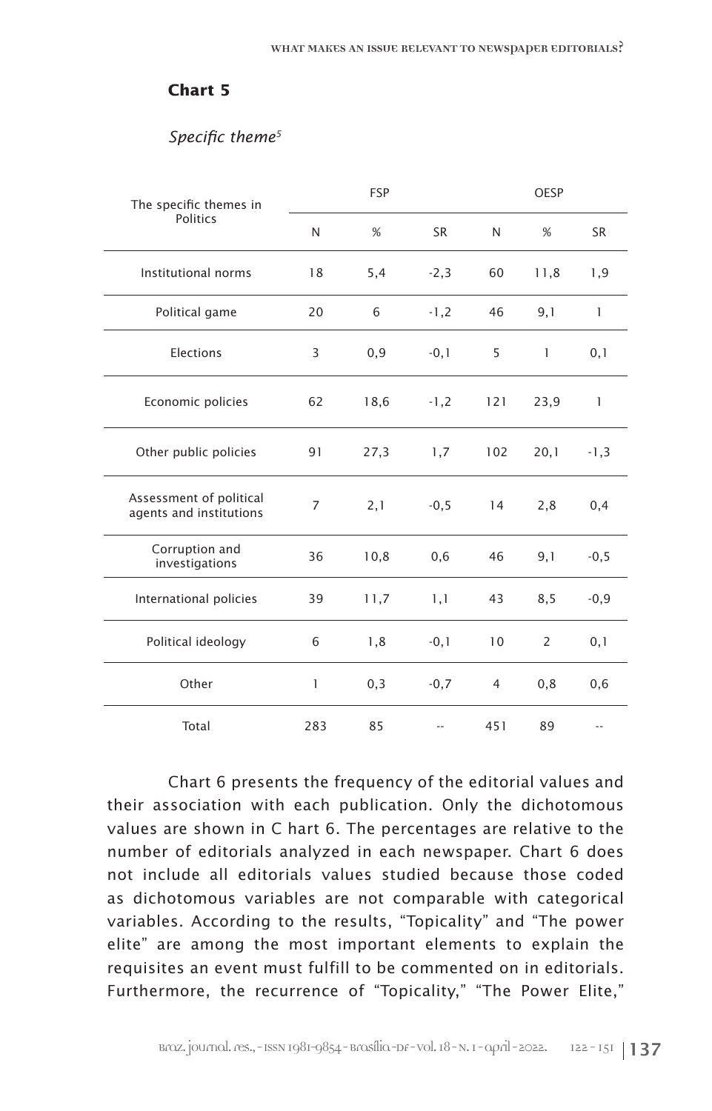# **Chart 5**

# *Specific theme5*

| The specific themes in                             |                | <b>FSP</b> | OESP      |                |              |              |
|----------------------------------------------------|----------------|------------|-----------|----------------|--------------|--------------|
| <b>Politics</b>                                    | N              | %          | <b>SR</b> | N              | %            | <b>SR</b>    |
| Institutional norms                                | 18             | 5,4        | $-2,3$    | 60             | 11,8         | 1,9          |
| Political game                                     | 20             | 6          | $-1,2$    | 46             | 9,1          | $\mathbf{1}$ |
| Elections                                          | 3              | 0,9        | $-0,1$    | 5              | $\mathbf{1}$ | 0,1          |
| Economic policies                                  | 62             | 18,6       | $-1,2$    | 121            | 23,9         | $\mathbf{1}$ |
| Other public policies                              | 91             | 27,3       | 1,7       | 102            | 20,1         | $-1,3$       |
| Assessment of political<br>agents and institutions | $\overline{7}$ | 2,1        | $-0,5$    | 14             | 2,8          | 0,4          |
| Corruption and<br>investigations                   | 36             | 10,8       | 0,6       | 46             | 9,1          | $-0,5$       |
| International policies                             | 39             | 11,7       | 1,1       | 43             | 8,5          | $-0,9$       |
| Political ideology                                 | 6              | 1,8        | $-0,1$    | 10             | 2            | 0,1          |
| Other                                              | 1              | 0,3        | $-0,7$    | $\overline{4}$ | 0, 8         | 0,6          |
| Total                                              | 283            | 85         |           | 451            | 89           |              |

Chart 6 presents the frequency of the editorial values and their association with each publication. Only the dichotomous values are shown in C hart 6. The percentages are relative to the number of editorials analyzed in each newspaper. Chart 6 does not include all editorials values studied because those coded as dichotomous variables are not comparable with categorical variables. According to the results, "Topicality" and "The power elite" are among the most important elements to explain the requisites an event must fulfill to be commented on in editorials. Furthermore, the recurrence of "Topicality," "The Power Elite,"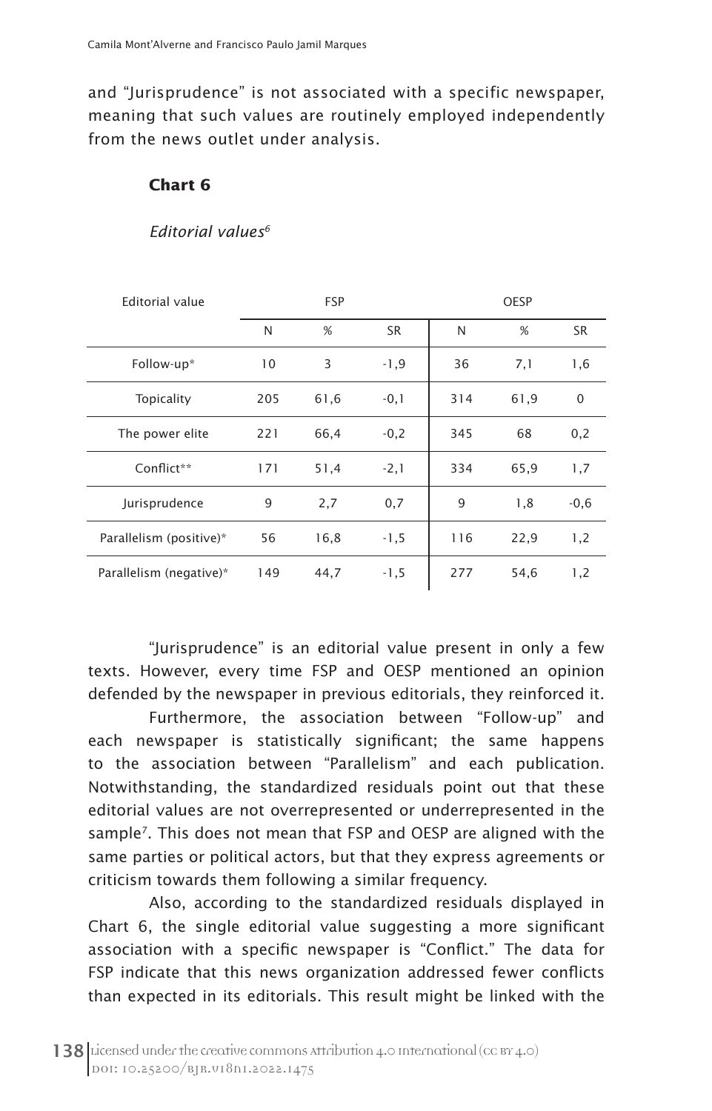and "Jurisprudence" is not associated with a specific newspaper, meaning that such values are routinely employed independently from the news outlet under analysis.

# **Chart 6**

### *Editorial values6*

| <b>Editorial value</b>  | <b>FSP</b> |      |           | <b>OESP</b> |      |             |
|-------------------------|------------|------|-----------|-------------|------|-------------|
|                         | N          | %    | <b>SR</b> | N           | %    | <b>SR</b>   |
| Follow-up*              | 10         | 3    | $-1,9$    | 36          | 7,1  | 1,6         |
| Topicality              | 205        | 61,6 | $-0,1$    | 314         | 61,9 | $\mathbf 0$ |
| The power elite         | 221        | 66,4 | $-0,2$    | 345         | 68   | 0,2         |
| Conflict**              | 171        | 51,4 | $-2,1$    | 334         | 65,9 | 1,7         |
| Jurisprudence           | 9          | 2,7  | 0,7       | 9           | 1,8  | $-0,6$      |
| Parallelism (positive)* | 56         | 16,8 | $-1,5$    | 116         | 22,9 | 1,2         |
| Parallelism (negative)* | 149        | 44,7 | $-1,5$    | 277         | 54,6 | 1,2         |

"Jurisprudence" is an editorial value present in only a few texts. However, every time FSP and OESP mentioned an opinion defended by the newspaper in previous editorials, they reinforced it.

Furthermore, the association between "Follow-up" and each newspaper is statistically significant; the same happens to the association between "Parallelism" and each publication. Notwithstanding, the standardized residuals point out that these editorial values are not overrepresented or underrepresented in the sample<sup>7</sup>. This does not mean that FSP and OESP are aligned with the same parties or political actors, but that they express agreements or criticism towards them following a similar frequency.

Also, according to the standardized residuals displayed in Chart 6, the single editorial value suggesting a more significant association with a specific newspaper is "Conflict." The data for FSP indicate that this news organization addressed fewer conflicts than expected in its editorials. This result might be linked with the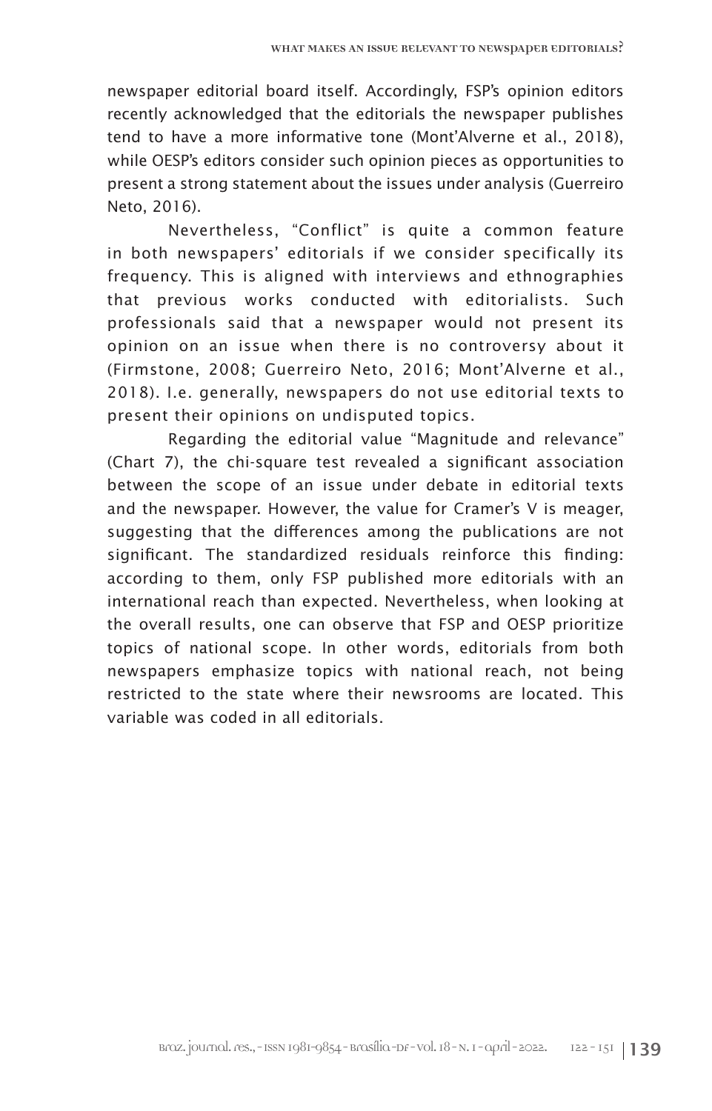newspaper editorial board itself. Accordingly, FSP's opinion editors recently acknowledged that the editorials the newspaper publishes tend to have a more informative tone (Mont'Alverne et al., 2018), while OESP's editors consider such opinion pieces as opportunities to present a strong statement about the issues under analysis (Guerreiro Neto, 2016).

Nevertheless, "Conflict" is quite a common feature in both newspapers' editorials if we consider specifically its frequency. This is aligned with interviews and ethnographies that previous works conducted with editorialists. Such professionals said that a newspaper would not present its opinion on an issue when there is no controversy about it (Firmstone, 2008; Guerreiro Neto, 2016; Mont'Alverne et al., 2018). I.e. generally, newspapers do not use editorial texts to present their opinions on undisputed topics.

Regarding the editorial value "Magnitude and relevance" (Chart 7), the chi-square test revealed a significant association between the scope of an issue under debate in editorial texts and the newspaper. However, the value for Cramer's V is meager, suggesting that the differences among the publications are not significant. The standardized residuals reinforce this finding: according to them, only FSP published more editorials with an international reach than expected. Nevertheless, when looking at the overall results, one can observe that FSP and OESP prioritize topics of national scope. In other words, editorials from both newspapers emphasize topics with national reach, not being restricted to the state where their newsrooms are located. This variable was coded in all editorials.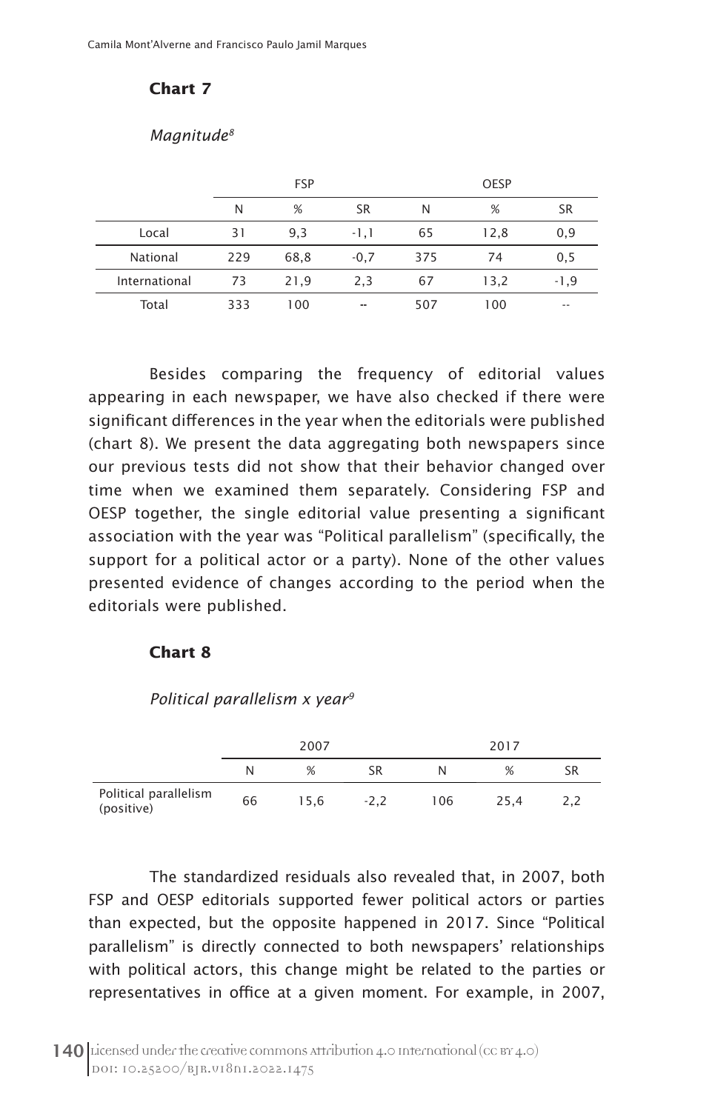# **Chart 7**

#### *Magnitude8*

|               |     | <b>FSP</b> |                          |     | <b>OESP</b> |                          |  |  |
|---------------|-----|------------|--------------------------|-----|-------------|--------------------------|--|--|
|               | N   | %          | <b>SR</b>                | N   | %           | <b>SR</b>                |  |  |
| Local         | 31  | 9,3        | $-1,1$                   | 65  | 12,8        | 0,9                      |  |  |
| National      | 229 | 68,8       | $-0,7$                   | 375 | 74          | 0, 5                     |  |  |
| International | 73  | 21,9       | 2,3                      | 67  | 13,2        | $-1,9$                   |  |  |
| Total         | 333 | 100        | $\overline{\phantom{a}}$ | 507 | 100         | $\overline{\phantom{a}}$ |  |  |

Besides comparing the frequency of editorial values appearing in each newspaper, we have also checked if there were significant differences in the year when the editorials were published (chart 8). We present the data aggregating both newspapers since our previous tests did not show that their behavior changed over time when we examined them separately. Considering FSP and OESP together, the single editorial value presenting a significant association with the year was "Political parallelism" (specifically, the support for a political actor or a party). None of the other values presented evidence of changes according to the period when the editorials were published.

# **Chart 8**

*Political parallelism x year9*

|                                     | 2007 |      |        | 2017 |      |    |
|-------------------------------------|------|------|--------|------|------|----|
|                                     | N    | %    | SR     |      | %    | SR |
| Political parallelism<br>(positive) | 66   | 15.6 | $-2.2$ | 106  | 25.4 |    |

The standardized residuals also revealed that, in 2007, both FSP and OESP editorials supported fewer political actors or parties than expected, but the opposite happened in 2017. Since "Political parallelism" is directly connected to both newspapers' relationships with political actors, this change might be related to the parties or representatives in office at a given moment. For example, in 2007,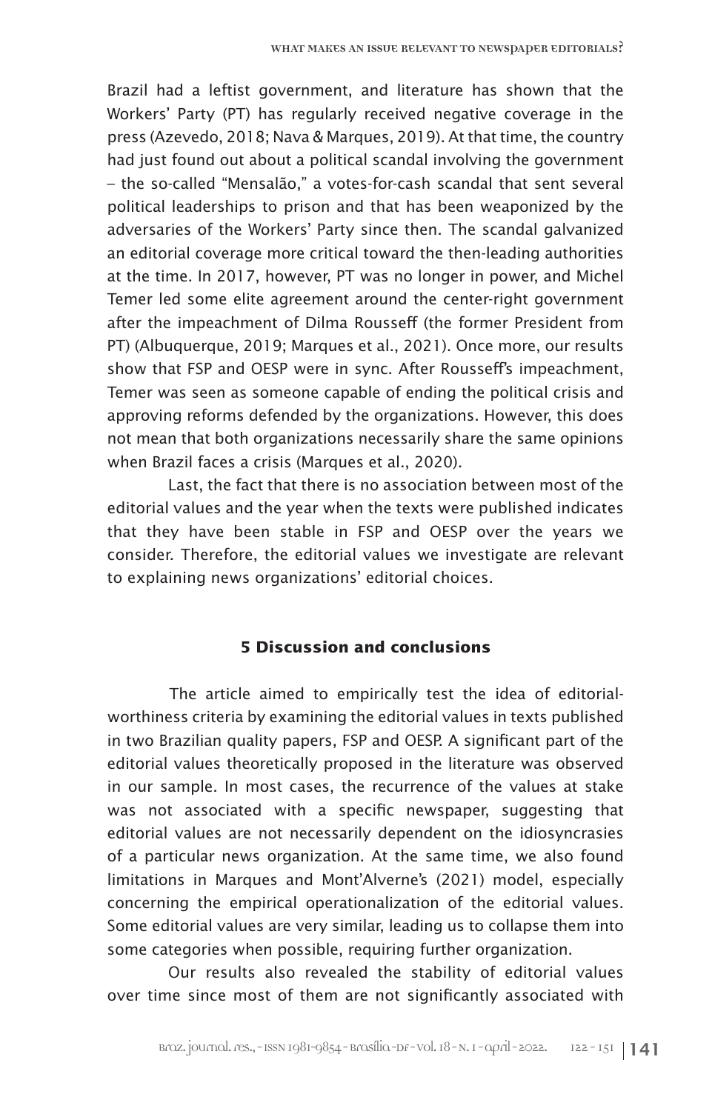Brazil had a leftist government, and literature has shown that the Workers' Party (PT) has regularly received negative coverage in the press (Azevedo, 2018; Nava & Marques, 2019). At that time, the country had just found out about a political scandal involving the government – the so-called "Mensalão," a votes-for-cash scandal that sent several political leaderships to prison and that has been weaponized by the adversaries of the Workers' Party since then. The scandal galvanized an editorial coverage more critical toward the then-leading authorities at the time. In 2017, however, PT was no longer in power, and Michel Temer led some elite agreement around the center-right government after the impeachment of Dilma Rousseff (the former President from PT) (Albuquerque, 2019; Marques et al., 2021). Once more, our results show that FSP and OESP were in sync. After Rousseff's impeachment, Temer was seen as someone capable of ending the political crisis and approving reforms defended by the organizations. However, this does not mean that both organizations necessarily share the same opinions when Brazil faces a crisis (Marques et al., 2020).

Last, the fact that there is no association between most of the editorial values and the year when the texts were published indicates that they have been stable in FSP and OESP over the years we consider. Therefore, the editorial values we investigate are relevant to explaining news organizations' editorial choices.

# **5 Discussion and conclusions**

The article aimed to empirically test the idea of editorialworthiness criteria by examining the editorial values in texts published in two Brazilian quality papers, FSP and OESP. A significant part of the editorial values theoretically proposed in the literature was observed in our sample. In most cases, the recurrence of the values at stake was not associated with a specific newspaper, suggesting that editorial values are not necessarily dependent on the idiosyncrasies of a particular news organization. At the same time, we also found limitations in Marques and Mont'Alverne's (2021) model, especially concerning the empirical operationalization of the editorial values. Some editorial values are very similar, leading us to collapse them into some categories when possible, requiring further organization.

Our results also revealed the stability of editorial values over time since most of them are not significantly associated with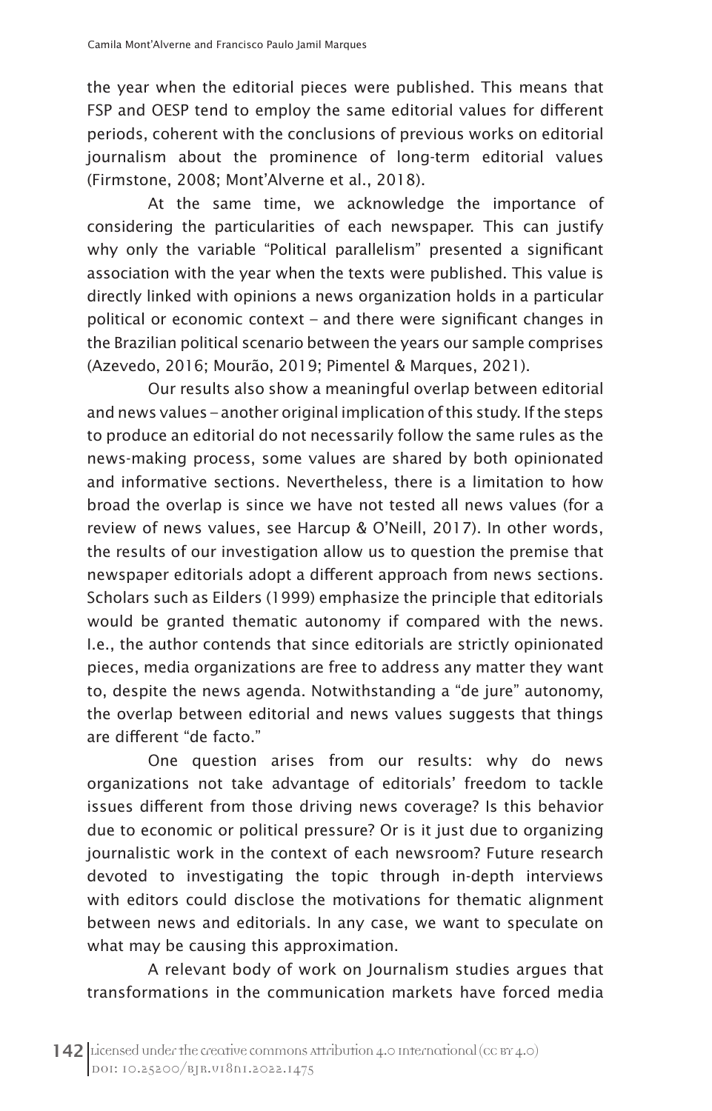the year when the editorial pieces were published. This means that FSP and OESP tend to employ the same editorial values for different periods, coherent with the conclusions of previous works on editorial journalism about the prominence of long-term editorial values (Firmstone, 2008; Mont'Alverne et al., 2018).

At the same time, we acknowledge the importance of considering the particularities of each newspaper. This can justify why only the variable "Political parallelism" presented a significant association with the year when the texts were published. This value is directly linked with opinions a news organization holds in a particular political or economic context – and there were significant changes in the Brazilian political scenario between the years our sample comprises (Azevedo, 2016; Mourão, 2019; Pimentel & Marques, 2021).

Our results also show a meaningful overlap between editorial and news values – another original implication of this study. If the steps to produce an editorial do not necessarily follow the same rules as the news-making process, some values are shared by both opinionated and informative sections. Nevertheless, there is a limitation to how broad the overlap is since we have not tested all news values (for a review of news values, see Harcup & O'Neill, 2017). In other words, the results of our investigation allow us to question the premise that newspaper editorials adopt a different approach from news sections. Scholars such as Eilders (1999) emphasize the principle that editorials would be granted thematic autonomy if compared with the news. I.e., the author contends that since editorials are strictly opinionated pieces, media organizations are free to address any matter they want to, despite the news agenda. Notwithstanding a "de jure" autonomy, the overlap between editorial and news values suggests that things are different "de facto."

One question arises from our results: why do news organizations not take advantage of editorials' freedom to tackle issues different from those driving news coverage? Is this behavior due to economic or political pressure? Or is it just due to organizing journalistic work in the context of each newsroom? Future research devoted to investigating the topic through in-depth interviews with editors could disclose the motivations for thematic alignment between news and editorials. In any case, we want to speculate on what may be causing this approximation.

A relevant body of work on Journalism studies argues that transformations in the communication markets have forced media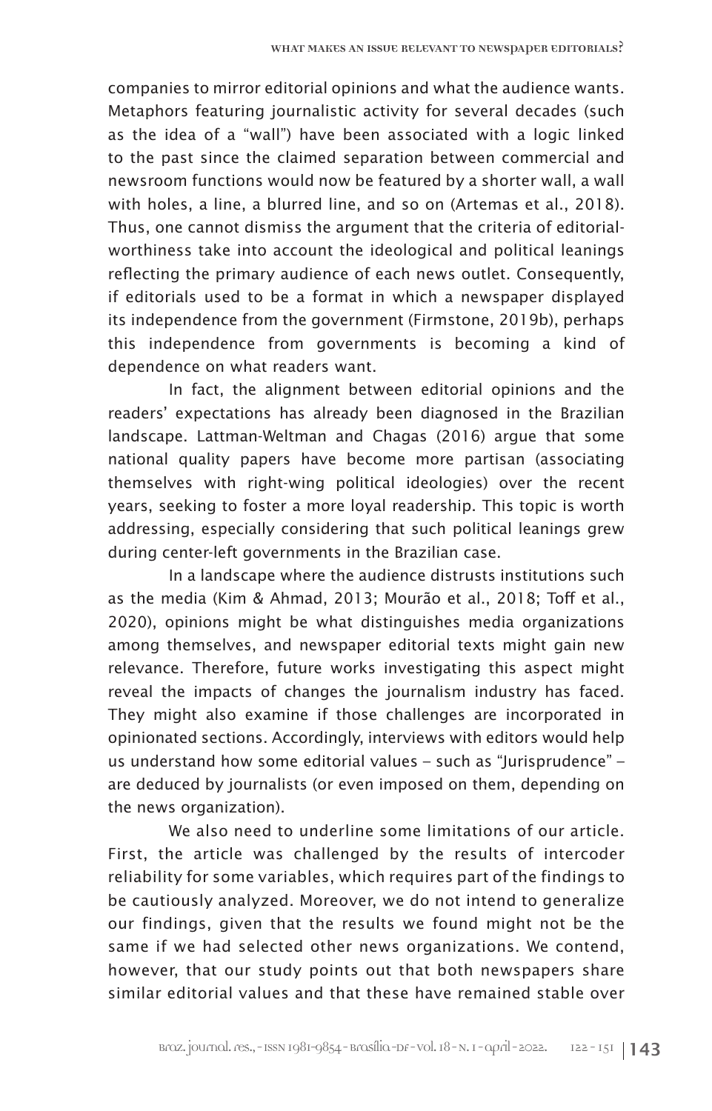companies to mirror editorial opinions and what the audience wants. Metaphors featuring journalistic activity for several decades (such as the idea of a "wall") have been associated with a logic linked to the past since the claimed separation between commercial and newsroom functions would now be featured by a shorter wall, a wall with holes, a line, a blurred line, and so on (Artemas et al., 2018). Thus, one cannot dismiss the argument that the criteria of editorialworthiness take into account the ideological and political leanings reflecting the primary audience of each news outlet. Consequently, if editorials used to be a format in which a newspaper displayed its independence from the government (Firmstone, 2019b), perhaps this independence from governments is becoming a kind of dependence on what readers want.

In fact, the alignment between editorial opinions and the readers' expectations has already been diagnosed in the Brazilian landscape. Lattman-Weltman and Chagas (2016) argue that some national quality papers have become more partisan (associating themselves with right-wing political ideologies) over the recent years, seeking to foster a more loyal readership. This topic is worth addressing, especially considering that such political leanings grew during center-left governments in the Brazilian case.

In a landscape where the audience distrusts institutions such as the media (Kim & Ahmad, 2013; Mourão et al., 2018; Toff et al., 2020), opinions might be what distinguishes media organizations among themselves, and newspaper editorial texts might gain new relevance. Therefore, future works investigating this aspect might reveal the impacts of changes the journalism industry has faced. They might also examine if those challenges are incorporated in opinionated sections. Accordingly, interviews with editors would help us understand how some editorial values – such as "Jurisprudence" – are deduced by journalists (or even imposed on them, depending on the news organization).

We also need to underline some limitations of our article. First, the article was challenged by the results of intercoder reliability for some variables, which requires part of the findings to be cautiously analyzed. Moreover, we do not intend to generalize our findings, given that the results we found might not be the same if we had selected other news organizations. We contend, however, that our study points out that both newspapers share similar editorial values and that these have remained stable over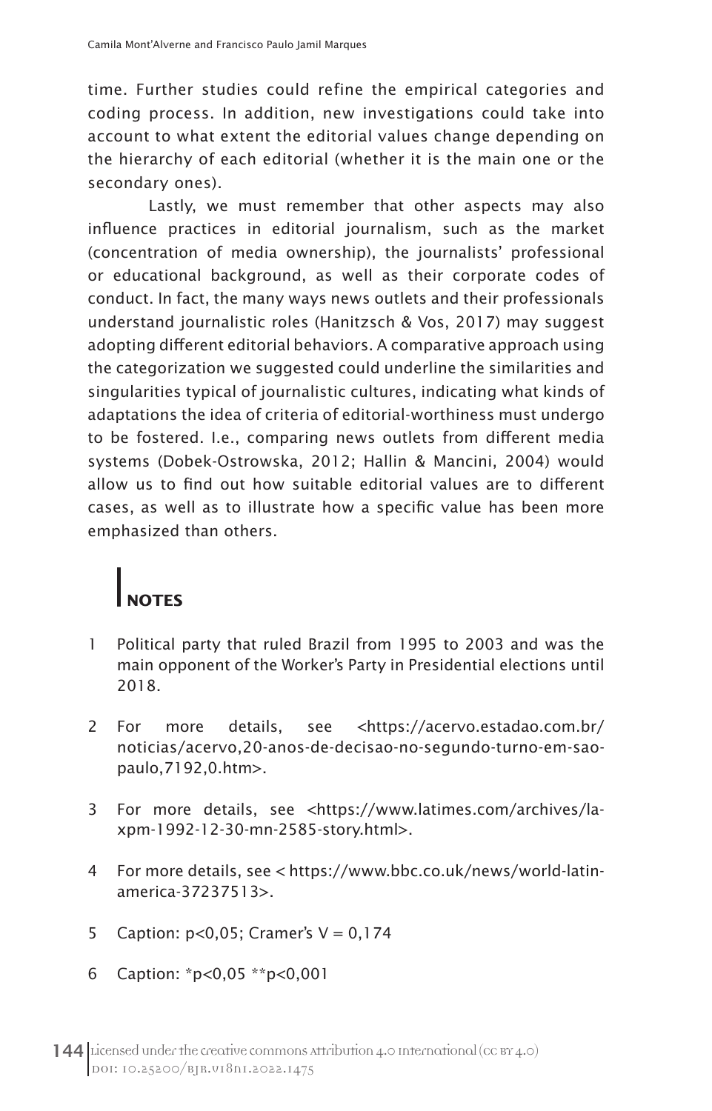time. Further studies could refine the empirical categories and coding process. In addition, new investigations could take into account to what extent the editorial values change depending on the hierarchy of each editorial (whether it is the main one or the secondary ones).

Lastly, we must remember that other aspects may also influence practices in editorial journalism, such as the market (concentration of media ownership), the journalists' professional or educational background, as well as their corporate codes of conduct. In fact, the many ways news outlets and their professionals understand journalistic roles (Hanitzsch & Vos, 2017) may suggest adopting different editorial behaviors. A comparative approach using the categorization we suggested could underline the similarities and singularities typical of journalistic cultures, indicating what kinds of adaptations the idea of criteria of editorial-worthiness must undergo to be fostered. I.e., comparing news outlets from different media systems (Dobek-Ostrowska, 2012; Hallin & Mancini, 2004) would allow us to find out how suitable editorial values are to different cases, as well as to illustrate how a specific value has been more emphasized than others.

# **NOTES**

- 1 Political party that ruled Brazil from 1995 to 2003 and was the main opponent of the Worker's Party in Presidential elections until 2018.
- 2 For more details, see <https://acervo.estadao.com.br/ noticias/acervo,20-anos-de-decisao-no-segundo-turno-em-saopaulo,7192,0.htm>.
- 3 For more details, see <https://www.latimes.com/archives/laxpm-1992-12-30-mn-2585-story.html>.
- 4 For more details, see < https://www.bbc.co.uk/news/world-latinamerica-37237513>.
- 5 Caption:  $p < 0.05$ ; Cramer's  $V = 0.174$
- 6 Caption: \*p<0,05 \*\*p<0,001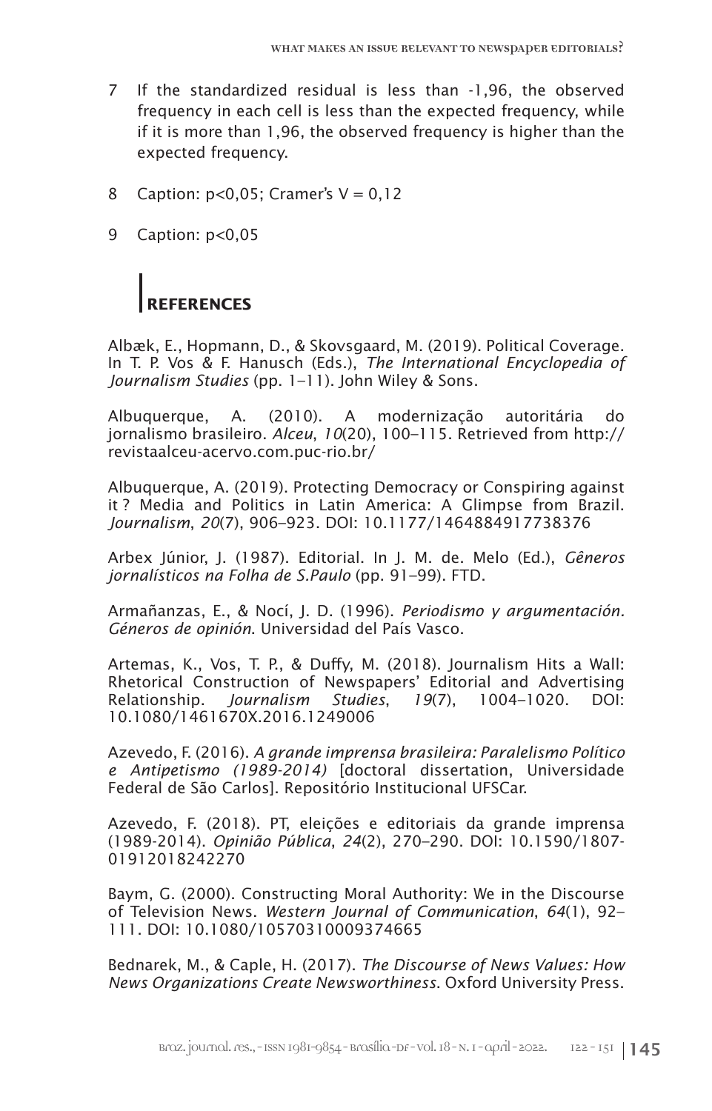- 7 If the standardized residual is less than -1,96, the observed frequency in each cell is less than the expected frequency, while if it is more than 1,96, the observed frequency is higher than the expected frequency.
- 8 Caption:  $p < 0,05$ ; Cramer's  $V = 0,12$
- 9 Caption: p<0,05

# **REFERENCES**

Albæk, E., Hopmann, D., & Skovsgaard, M. (2019). Political Coverage. In T. P. Vos & F. Hanusch (Eds.), *The International Encyclopedia of Journalism Studies* (pp. 1–11). John Wiley & Sons.

Albuquerque, A. (2010). A modernização autoritária do jornalismo brasileiro. *Alceu*, *10*(20), 100–115. Retrieved from http:// revistaalceu-acervo.com.puc-rio.br/

Albuquerque, A. (2019). Protecting Democracy or Conspiring against it ? Media and Politics in Latin America: A Glimpse from Brazil. *Journalism*, *20*(7), 906–923. DOI: 10.1177/1464884917738376

Arbex Júnior, J. (1987). Editorial. In J. M. de. Melo (Ed.), *Gêneros jornalísticos na Folha de S.Paulo* (pp. 91–99). FTD.

Armañanzas, E., & Nocí, J. D. (1996). *Periodismo y argumentación. Géneros de opinión*. Universidad del País Vasco.

Artemas, K., Vos, T. P., & Duffy, M. (2018). Journalism Hits a Wall: Rhetorical Construction of Newspapers' Editorial and Advertising Relationship. *Journalism Studies*, *19*(7), 1004–1020. DOI: 10.1080/1461670X.2016.1249006

Azevedo, F. (2016). *A grande imprensa brasileira: Paralelismo Político e Antipetismo (1989-2014)* [doctoral dissertation, Universidade Federal de São Carlos]. Repositório Institucional UFSCar.

Azevedo, F. (2018). PT, eleições e editoriais da grande imprensa (1989-2014). *Opinião Pública*, *24*(2), 270–290. DOI: 10.1590/1807- 01912018242270

Baym, G. (2000). Constructing Moral Authority: We in the Discourse of Television News. *Western Journal of Communication*, *64*(1), 92– 111. DOI: 10.1080/10570310009374665

Bednarek, M., & Caple, H. (2017). *The Discourse of News Values: How News Organizations Create Newsworthiness*. Oxford University Press.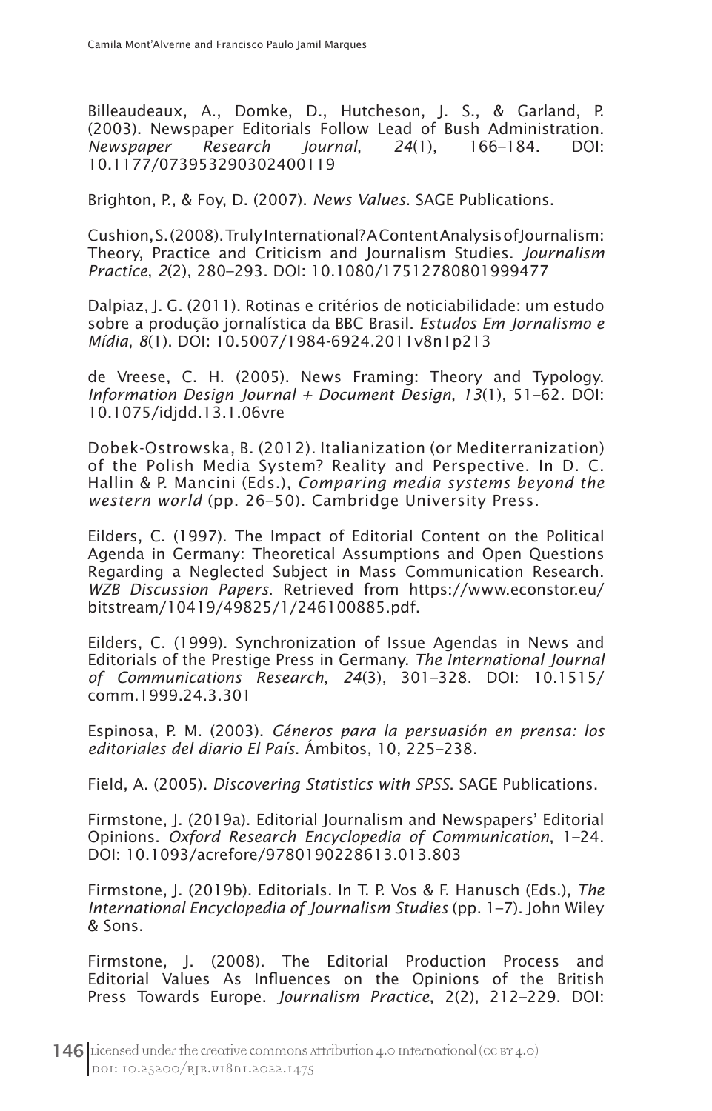Billeaudeaux, A., Domke, D., Hutcheson, J. S., & Garland, P. (2003). Newspaper Editorials Follow Lead of Bush Administration.<br>Newspaper Research Journal. 24(1). 166–184. DOI: *Newspaper Research Journal*, *24*(1), 166–184. DOI: 10.1177/073953290302400119

Brighton, P., & Foy, D. (2007). *News Values*. SAGE Publications.

Cushion, S. (2008). Truly International? A Content Analysis of Journalism: Theory, Practice and Criticism and Journalism Studies. *Journalism Practice*, *2*(2), 280–293. DOI: 10.1080/17512780801999477

Dalpiaz, J. G. (2011). Rotinas e critérios de noticiabilidade: um estudo sobre a produção jornalística da BBC Brasil. *Estudos Em Jornalismo e Mídia*, *8*(1). DOI: 10.5007/1984-6924.2011v8n1p213

de Vreese, C. H. (2005). News Framing: Theory and Typology. *Information Design Journal + Document Design*, *13*(1), 51–62. DOI: 10.1075/idjdd.13.1.06vre

Dobek-Ostrowska, B. (2012). Italianization (or Mediterranization) of the Polish Media System? Reality and Perspective. In D. C. Hallin & P. Mancini (Eds.), *Comparing media systems beyond the western world* (pp. 26–50). Cambridge University Press.

Eilders, C. (1997). The Impact of Editorial Content on the Political Agenda in Germany: Theoretical Assumptions and Open Questions Regarding a Neglected Subject in Mass Communication Research. *WZB Discussion Papers*. Retrieved from https://www.econstor.eu/ bitstream/10419/49825/1/246100885.pdf.

Eilders, C. (1999). Synchronization of Issue Agendas in News and Editorials of the Prestige Press in Germany. *The International Journal of Communications Research*, *24*(3), 301–328. DOI: 10.1515/ comm.1999.24.3.301

Espinosa, P. M. (2003). *Géneros para la persuasión en prensa: los editoriales del diario El País*. Ámbitos, 10, 225–238.

Field, A. (2005). *Discovering Statistics with SPSS*. SAGE Publications.

Firmstone, J. (2019a). Editorial Journalism and Newspapers' Editorial Opinions. *Oxford Research Encyclopedia of Communication*, 1–24. DOI: 10.1093/acrefore/9780190228613.013.803

Firmstone, J. (2019b). Editorials. In T. P. Vos & F. Hanusch (Eds.), *The International Encyclopedia of Journalism Studies* (pp. 1–7). John Wiley & Sons.

Firmstone, J. (2008). The Editorial Production Process and Editorial Values As Influences on the Opinions of the British Press Towards Europe. *Journalism Practice*, 2(2), 212–229. DOI: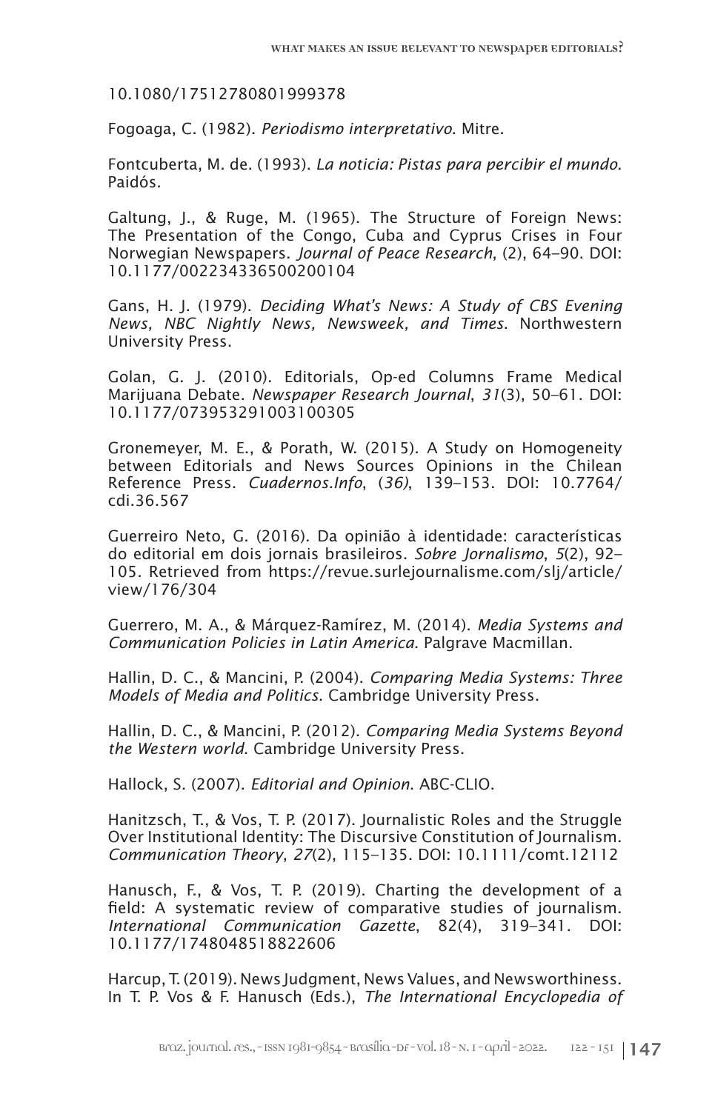10.1080/17512780801999378

Fogoaga, C. (1982). *Periodismo interpretativo*. Mitre.

Fontcuberta, M. de. (1993). *La noticia: Pistas para percibir el mundo*. Paidós.

Galtung, J., & Ruge, M. (1965). The Structure of Foreign News: The Presentation of the Congo, Cuba and Cyprus Crises in Four Norwegian Newspapers. *Journal of Peace Research*, (2), 64–90. DOI: 10.1177/002234336500200104

Gans, H. J. (1979). *Deciding What's News: A Study of CBS Evening News, NBC Nightly News, Newsweek, and Times*. Northwestern University Press.

Golan, G. J. (2010). Editorials, Op-ed Columns Frame Medical Marijuana Debate. *Newspaper Research Journal*, *31*(3), 50–61. DOI: 10.1177/073953291003100305

Gronemeyer, M. E., & Porath, W. (2015). A Study on Homogeneity between Editorials and News Sources Opinions in the Chilean Reference Press. *Cuadernos.Info*, (*36)*, 139–153. DOI: 10.7764/ cdi.36.567

Guerreiro Neto, G. (2016). Da opinião à identidade: características do editorial em dois jornais brasileiros. *Sobre Jornalismo*, *5*(2), 92– 105. Retrieved from https://revue.surlejournalisme.com/slj/article/ view/176/304

Guerrero, M. A., & Márquez-Ramírez, M. (2014). *Media Systems and Communication Policies in Latin America*. Palgrave Macmillan.

Hallin, D. C., & Mancini, P. (2004). *Comparing Media Systems: Three Models of Media and Politics*. Cambridge University Press.

Hallin, D. C., & Mancini, P. (2012). *Comparing Media Systems Beyond the Western world*. Cambridge University Press.

Hallock, S. (2007). *Editorial and Opinion*. ABC-CLIO.

Hanitzsch, T., & Vos, T. P. (2017). Journalistic Roles and the Struggle Over Institutional Identity: The Discursive Constitution of Journalism. *Communication Theory*, *27*(2), 115–135. DOI: 10.1111/comt.12112

Hanusch, F., & Vos, T. P. (2019). Charting the development of a field: A systematic review of comparative studies of journalism. *International Communication Gazette*, 82(4), 319–341. DOI: 10.1177/1748048518822606

Harcup, T. (2019). News Judgment, News Values, and Newsworthiness. In T. P. Vos & F. Hanusch (Eds.), *The International Encyclopedia of*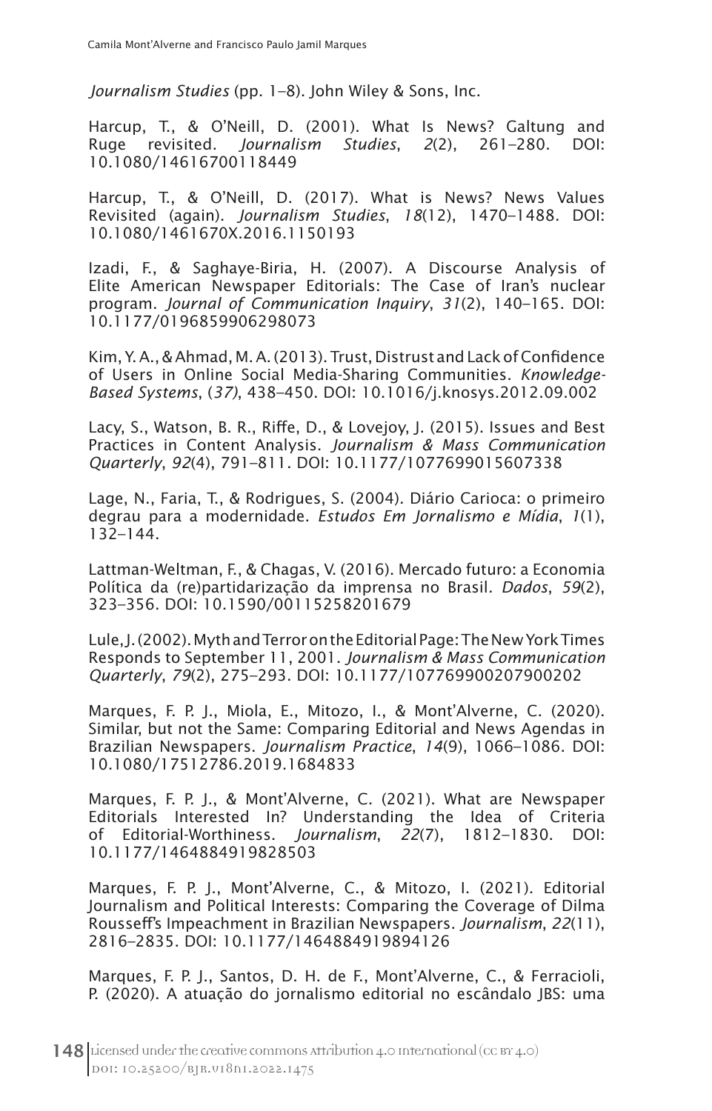*Journalism Studies* (pp. 1–8). John Wiley & Sons, Inc.

Harcup, T., & O'Neill, D. (2001). What Is News? Galtung and Ruge revisited. *Journalism Studies*, *2*(2), 261–280. DOI: 10.1080/14616700118449

Harcup, T., & O'Neill, D. (2017). What is News? News Values Revisited (again). *Journalism Studies*, *18*(12), 1470–1488. DOI: 10.1080/1461670X.2016.1150193

Izadi, F., & Saghaye-Biria, H. (2007). A Discourse Analysis of Elite American Newspaper Editorials: The Case of Iran's nuclear program. *Journal of Communication Inquiry*, *31*(2), 140–165. DOI: 10.1177/0196859906298073

Kim, Y. A., & Ahmad, M. A. (2013). Trust, Distrust and Lack of Confidence of Users in Online Social Media-Sharing Communities. *Knowledge-Based Systems*, (*37)*, 438–450. DOI: 10.1016/j.knosys.2012.09.002

Lacy, S., Watson, B. R., Riffe, D., & Lovejoy, J. (2015). Issues and Best Practices in Content Analysis. *Journalism & Mass Communication Quarterly*, *92*(4), 791–811. DOI: 10.1177/1077699015607338

Lage, N., Faria, T., & Rodrigues, S. (2004). Diário Carioca: o primeiro degrau para a modernidade. *Estudos Em Jornalismo e Mídia*, *1*(1), 132–144.

Lattman-Weltman, F., & Chagas, V. (2016). Mercado futuro: a Economia Política da (re)partidarização da imprensa no Brasil. *Dados*, *59*(2), 323–356. DOI: 10.1590/00115258201679

Lule, J. (2002). Myth and Terror on the Editorial Page: The New York Times Responds to September 11, 2001. *Journalism & Mass Communication Quarterly*, *79*(2), 275–293. DOI: 10.1177/107769900207900202

Marques, F. P. J., Miola, E., Mitozo, I., & Mont'Alverne, C. (2020). Similar, but not the Same: Comparing Editorial and News Agendas in Brazilian Newspapers. *Journalism Practice*, *14*(9), 1066–1086. DOI: 10.1080/17512786.2019.1684833

Marques, F. P. J., & Mont'Alverne, C. (2021). What are Newspaper Editorials Interested In? Understanding the Idea of Criteria of Editorial-Worthiness. *Journalism*, *22*(7), 1812–1830. DOI: 10.1177/1464884919828503

Marques, F. P. J., Mont'Alverne, C., & Mitozo, I. (2021). Editorial Journalism and Political Interests: Comparing the Coverage of Dilma Rousseff's Impeachment in Brazilian Newspapers. *Journalism*, *22*(11), 2816–2835. DOI: 10.1177/1464884919894126

Marques, F. P. J., Santos, D. H. de F., Mont'Alverne, C., & Ferracioli, P. (2020). A atuação do jornalismo editorial no escândalo JBS: uma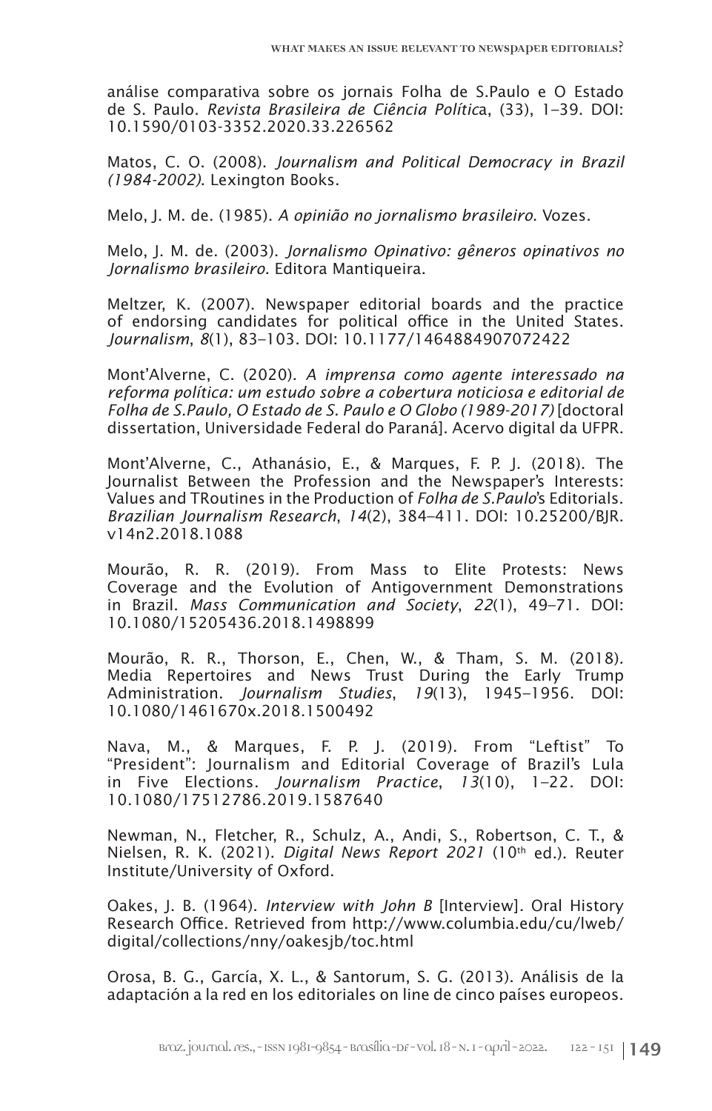análise comparativa sobre os jornais Folha de S.Paulo e O Estado de S. Paulo. *Revista Brasileira de Ciência Polític*a, (33), 1–39. DOI: 10.1590/0103-3352.2020.33.226562

Matos, C. O. (2008). *Journalism and Political Democracy in Brazil (1984-2002)*. Lexington Books.

Melo, J. M. de. (1985). *A opinião no jornalismo brasileiro*. Vozes.

Melo, J. M. de. (2003). *Jornalismo Opinativo: gêneros opinativos no Jornalismo brasileiro*. Editora Mantiqueira.

Meltzer, K. (2007). Newspaper editorial boards and the practice of endorsing candidates for political office in the United States. *Journalism*, *8*(1), 83–103. DOI: 10.1177/1464884907072422

Mont'Alverne, C. (2020). *A imprensa como agente interessado na reforma política: um estudo sobre a cobertura noticiosa e editorial de Folha de S.Paulo, O Estado de S. Paulo e O Globo (1989-2017)* [doctoral dissertation, Universidade Federal do Paraná]. Acervo digital da UFPR.

Mont'Alverne, C., Athanásio, E., & Marques, F. P. J. (2018). The Journalist Between the Profession and the Newspaper's Interests: Values and TRoutines in the Production of *Folha de S.Paulo*'s Editorials. *Brazilian Journalism Research*, *14*(2), 384–411. DOI: 10.25200/BJR. v14n2.2018.1088

Mourão, R. R. (2019). From Mass to Elite Protests: News Coverage and the Evolution of Antigovernment Demonstrations in Brazil. *Mass Communication and Society*, *22*(1), 49–71. DOI: 10.1080/15205436.2018.1498899

Mourão, R. R., Thorson, E., Chen, W., & Tham, S. M. (2018). Media Repertoires and News Trust During the Early Trump Administration. *Journalism Studies*, *19*(13), 1945–1956. DOI: 10.1080/1461670x.2018.1500492

Nava, M., & Marques, F. P. J. (2019). From "Leftist" To "President": Journalism and Editorial Coverage of Brazil's Lula in Five Elections. *Journalism Practice*, *13*(10), 1–22. DOI: 10.1080/17512786.2019.1587640

Newman, N., Fletcher, R., Schulz, A., Andi, S., Robertson, C. T., & Nielsen, R. K. (2021). *Digital News Report 2021* (10th ed.). Reuter Institute/University of Oxford.

Oakes, J. B. (1964). *Interview with John B* [Interview]*.* Oral History Research Office. Retrieved from http://www.columbia.edu/cu/lweb/ digital/collections/nny/oakesjb/toc.html

Orosa, B. G., García, X. L., & Santorum, S. G. (2013). Análisis de la adaptación a la red en los editoriales on line de cinco países europeos.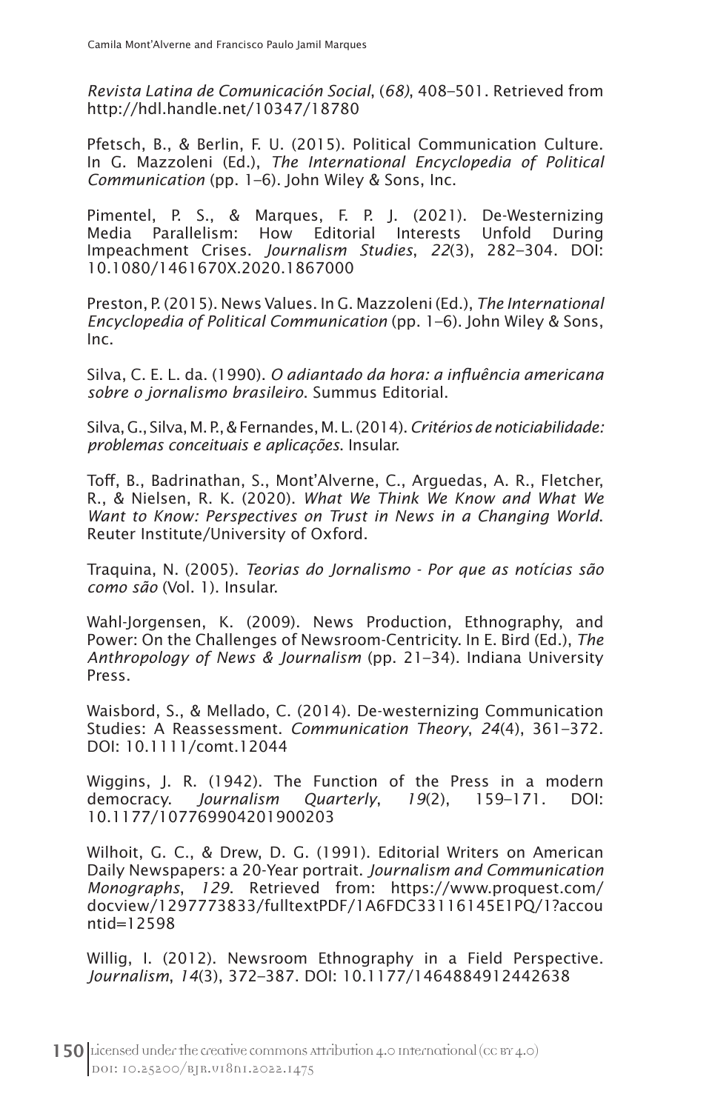*Revista Latina de Comunicación Social*, (*68)*, 408–501. Retrieved from http://hdl.handle.net/10347/18780

Pfetsch, B., & Berlin, F. U. (2015). Political Communication Culture. In G. Mazzoleni (Ed.), *The International Encyclopedia of Political Communication* (pp. 1–6). John Wiley & Sons, Inc.

Pimentel, P. S., & Marques, F. P. J. (2021). De-Westernizing Media Parallelism: How Editorial Interests Unfold During Impeachment Crises. *Journalism Studies*, *22*(3), 282–304. DOI: 10.1080/1461670X.2020.1867000

Preston, P. (2015). News Values. In G. Mazzoleni (Ed.), *The International Encyclopedia of Political Communication* (pp. 1–6). John Wiley & Sons, Inc.

Silva, C. E. L. da. (1990). *O adiantado da hora: a influência americana sobre o jornalismo brasileiro*. Summus Editorial.

Silva, G., Silva, M. P., & Fernandes, M. L. (2014). *Critérios de noticiabilidade: problemas conceituais e aplicações*. Insular.

Toff, B., Badrinathan, S., Mont'Alverne, C., Arguedas, A. R., Fletcher, R., & Nielsen, R. K. (2020). *What We Think We Know and What We Want to Know: Perspectives on Trust in News in a Changing World*. Reuter Institute/University of Oxford.

Traquina, N. (2005). *Teorias do Jornalismo - Por que as notícias são como são* (Vol. 1). Insular.

Wahl-Jorgensen, K. (2009). News Production, Ethnography, and Power: On the Challenges of Newsroom-Centricity. In E. Bird (Ed.), *The Anthropology of News & Journalism* (pp. 21–34). Indiana University Press.

Waisbord, S., & Mellado, C. (2014). De-westernizing Communication Studies: A Reassessment. *Communication Theory*, *24*(4), 361–372. DOI: 10.1111/comt.12044

Wiggins, J. R. (1942). The Function of the Press in a modern democracy. *Journalism Quarterly*, *19*(2), 159–171. DOI: 10.1177/107769904201900203

Wilhoit, G. C., & Drew, D. G. (1991). Editorial Writers on American Daily Newspapers: a 20-Year portrait. *Journalism and Communication Monographs*, *129*. Retrieved from: https://www.proquest.com/ docview/1297773833/fulltextPDF/1A6FDC33116145E1PQ/1?accou ntid=12598

Willig, I. (2012). Newsroom Ethnography in a Field Perspective. *Journalism*, *14*(3), 372–387. DOI: 10.1177/1464884912442638